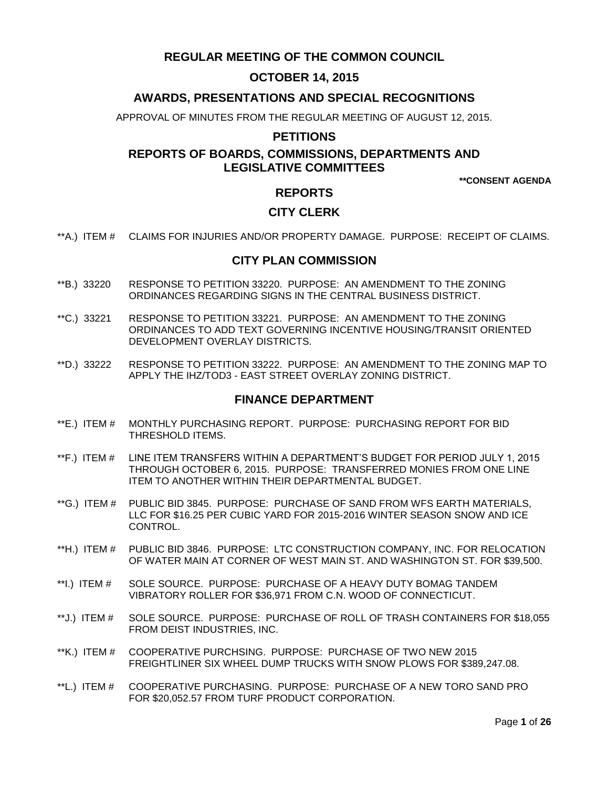# **REGULAR MEETING OF THE COMMON COUNCIL**

# **OCTOBER 14, 2015**

# **AWARDS, PRESENTATIONS AND SPECIAL RECOGNITIONS**

APPROVAL OF MINUTES FROM THE REGULAR MEETING OF AUGUST 12, 2015.

# **PETITIONS**

# **REPORTS OF BOARDS, COMMISSIONS, DEPARTMENTS AND LEGISLATIVE COMMITTEES**

**\*\*CONSENT AGENDA**

# **REPORTS**

# **CITY CLERK**

\*\*A.) ITEM # [CLAIMS FOR INJURIES AND/OR PROPERTY DAMAGE. PURPOSE: RECEIPT OF CLAIMS.](#page-3-0)

#### **CITY PLAN COMMISSION**

- \*\*B.) 33220 [RESPONSE TO PETITION 33220. PURPOSE: AN AMENDMENT TO THE ZONING](#page-3-1)  [ORDINANCES REGARDING SIGNS IN THE CENTRAL BUSINESS DISTRICT.](#page-3-1)
- \*\*C.) 33221 [RESPONSE TO PETITION 33221. PURPOSE: AN AMENDMENT TO THE ZONING](#page-4-0)  [ORDINANCES TO ADD TEXT GOVERNING INCENTIVE HOUSING/TRANSIT ORIENTED](#page-4-0)  [DEVELOPMENT OVERLAY DISTRICTS.](#page-4-0)
- \*\*D.) 33222 [RESPONSE TO PETITION 33222. PURPOSE: AN AMENDMENT TO THE ZONING MAP TO](#page-5-0)  APPLY THE IHZ/TOD3 - [EAST STREET OVERLAY ZONING DISTRICT.](#page-5-0)

# **FINANCE DEPARTMENT**

- \*\*E.) ITEM # [MONTHLY PURCHASING REPORT. PURPOSE: PURCHASING REPORT FOR BID](#page-7-0)  [THRESHOLD ITEMS.](#page-7-0)
- \*\*F.) ITEM # [LINE ITEM TRANSFERS WITHIN A DEPARTMENT'S BUDGET FOR PERIOD JULY 1, 2015](#page-7-1)  [THROUGH OCTOBER 6, 2015. PURPOSE: TRANSFERRED MONIES FROM ONE LINE](#page-7-1)  [ITEM TO ANOTHER WITHIN THEIR DEPARTMENTAL BUDGET.](#page-7-1)
- \*\*G.) ITEM # [PUBLIC BID 3845. PURPOSE: PURCHASE OF SAND FROM WFS EARTH MATERIALS,](#page-8-0)  LLC FOR \$16.25 PER CUBIC YARD FOR [2015-2016 WINTER SEASON SNOW AND ICE](#page-8-0)  [CONTROL.](#page-8-0)
- \*\*H.) ITEM # [PUBLIC BID 3846. PURPOSE: LTC CONSTRUCTION COMPANY, INC. FOR RELOCATION](#page-8-1)  [OF WATER MAIN AT CORNER OF WEST MAIN ST. AND WASHINGTON ST. FOR \\$39,500.](#page-8-1)
- \*\*I.) ITEM # [SOLE SOURCE. PURPOSE: PURCHASE OF A HEAVY DUTY BOMAG TANDEM](#page-9-0)  VIBRATORY ROLLER [FOR \\$36,971 FROM C.N. WOOD OF CONNECTICUT.](#page-9-0)
- \*\*J.) ITEM # [SOLE SOURCE. PURPOSE: PURCHASE OF ROLL OF TRASH CONTAINERS FOR \\$18,055](#page-10-0)  [FROM DEIST INDUSTRIES, INC.](#page-10-0)
- \*\*K.) ITEM # [COOPERATIVE PURCHSING. PURPOSE: PURCHASE OF TWO NEW 2015](#page-10-1)  [FREIGHTLINER SIX WHEEL DUMP TRUCKS WITH SNOW PLOWS FOR \\$389,247.08.](#page-10-1)
- \*\*L.) ITEM # [COOPERATIVE PURCHASING. PURPOSE: PURCHASE OF A NEW TORO SAND PRO](#page-11-0)  [FOR \\$20,052.57 FROM TURF PRODUCT CORPORATION.](#page-11-0)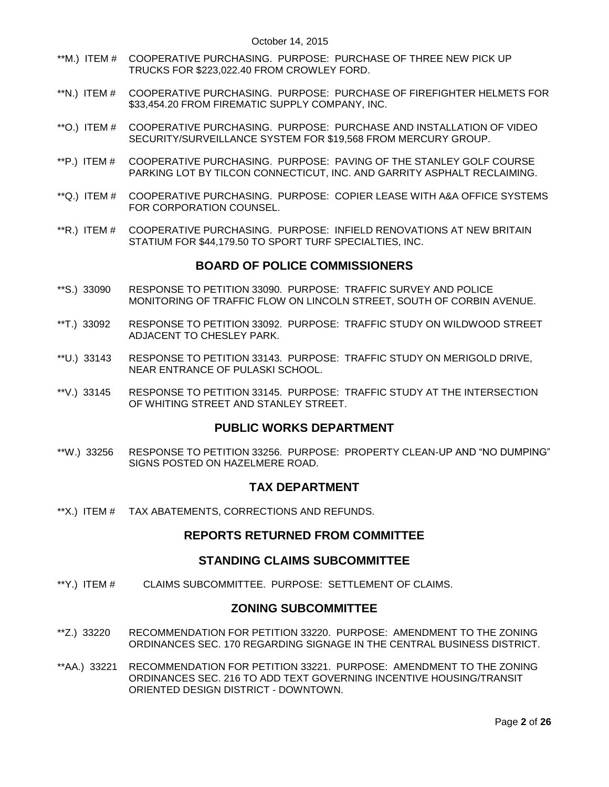- \*\*M.) ITEM # [COOPERATIVE PURCHASING. PURPOSE: PURCHASE OF THREE NEW PICK UP](#page-12-0)  [TRUCKS FOR \\$223,022.40 FROM CROWLEY FORD.](#page-12-0)
- \*\*N.) ITEM # [COOPERATIVE PURCHASING. PURPOSE: PURCHASE OF FIREFIGHTER HELMETS FOR](#page-12-1)  [\\$33,454.20 FROM FIREMATIC SUPPLY COMPANY, INC.](#page-12-1)
- \*\*O.) ITEM # [COOPERATIVE PURCHASING. PURPOSE: PURCHASE AND INSTALLATION OF VIDEO](#page-13-0)  [SECURITY/SURVEILLANCE SYSTEM FOR \\$19,568 FROM MERCURY GROUP.](#page-13-0)
- \*\*P.) ITEM # [COOPERATIVE PURCHASING. PURPOSE: PAVING OF THE STANLEY GOLF COURSE](#page-14-0)  [PARKING LOT BY TILCON CONNECTICUT, INC. AND GARRITY ASPHALT RECLAIMING.](#page-14-0)
- \*\*Q.) ITEM # [COOPERATIVE PURCHASING. PURPOSE: COPIER LEASE WITH A&A OFFICE SYSTEMS](#page-14-1)  [FOR CORPORATION COUNSEL.](#page-14-1)
- \*\*R.) ITEM # [COOPERATIVE PURCHASING. PURPOSE: INFIELD RENOVATIONS AT NEW BRITAIN](#page-15-0)  [STATIUM FOR \\$44,179.50 TO SPORT TURF SPECIALTIES, INC.](#page-15-0)

#### **BOARD OF POLICE COMMISSIONERS**

- \*\*S.) 33090 [RESPONSE TO PETITION 33090. PURPOSE: TRAFFIC SURVEY AND POLICE](#page-16-0)  [MONITORING OF TRAFFIC FLOW ON LINCOLN STREET, SOUTH OF CORBIN AVENUE.](#page-16-0)
- \*\*T.) 33092 [RESPONSE TO PETITION 33092. PURPOSE: TRAFFIC STUDY ON WILDWOOD STREET](#page-16-1)  [ADJACENT TO CHESLEY PARK.](#page-16-1)
- \*\*U.) 33143 [RESPONSE TO PETITION 33143. PURPOSE: TRAFFIC STUDY ON MERIGOLD DRIVE,](#page-16-2)  [NEAR ENTRANCE OF PULASKI SCHOOL.](#page-16-2)
- \*\*V.) 33145 [RESPONSE TO PETITION 33145. PURPOSE: TRAFFIC STUDY AT THE INTERSECTION](#page-17-0)  [OF WHITING STREET AND STANLEY STREET.](#page-17-0)

### **PUBLIC WORKS DEPARTMENT**

\*\*W.) 33256 [RESPONSE TO PETITION 33256. PURPOSE: PROPERTY CLEAN-UP AND "NO DUMPING"](#page-17-1)  [SIGNS POSTED ON HAZELMERE ROAD.](#page-17-1)

#### **TAX DEPARTMENT**

\*\*X.) ITEM # [TAX ABATEMENTS, CORRECTIONS AND REFUNDS.](#page-17-2)

# **REPORTS RETURNED FROM COMMITTEE**

#### **STANDING CLAIMS SUBCOMMITTEE**

\*\*Y.) ITEM # [CLAIMS SUBCOMMITTEE. PURPOSE: SETTLEMENT OF CLAIMS.](#page-18-0)

# **ZONING SUBCOMMITTEE**

- \*\*Z.) 33220 [RECOMMENDATION FOR PETITION 33220. PURPOSE: AMENDMENT TO THE ZONING](#page-18-1)  [ORDINANCES SEC. 170 REGARDING SIGNAGE IN THE CENTRAL BUSINESS DISTRICT.](#page-18-1)
- \*\*AA.) 33221 [RECOMMENDATION FOR PETITION 33221. PURPOSE: AMENDMENT TO THE ZONING](#page-18-2)  ORDINANCES SEC. [216 TO ADD TEXT GOVERNING INCENTIVE HOUSING/TRANSIT](#page-18-2)  [ORIENTED DESIGN DISTRICT -](#page-18-2) DOWNTOWN.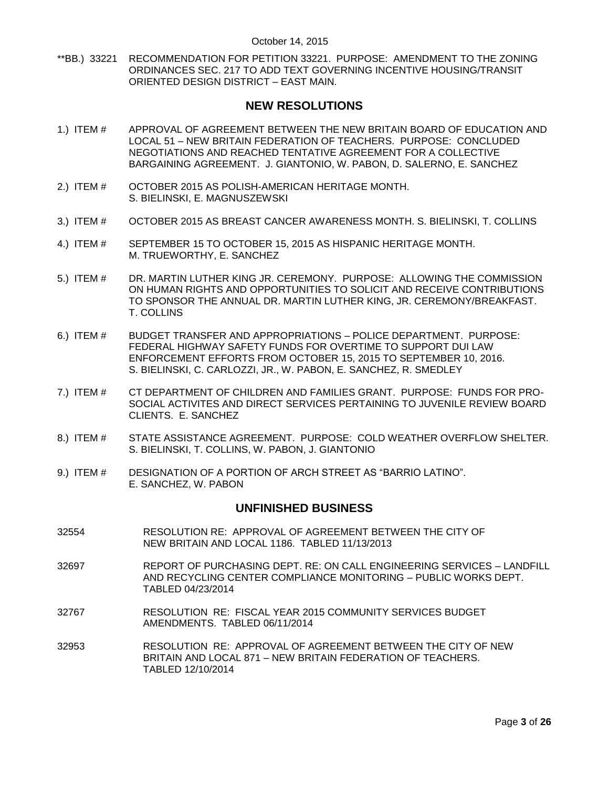\*\*BB.) 33221 [RECOMMENDATION FOR PETITION 33221. PURPOSE: AMENDMENT TO THE ZONING](#page-19-0)  [ORDINANCES SEC. 217 TO ADD TEXT GOVERNING INCENTIVE HOUSING/TRANSIT](#page-19-0)  [ORIENTED DESIGN DISTRICT –](#page-19-0) EAST MAIN.

# **NEW RESOLUTIONS**

- 1.) ITEM # APPROVAL OF AGREEMENT [BETWEEN THE NEW BRITAIN BOARD OF EDUCATION](#page-19-1) AND LOCAL 51 – [NEW BRITAIN FEDERATION OF TEACHERS. PURPOSE: CONCLUDED](#page-19-1)  [NEGOTIATIONS AND REACHED TENTATIVE AGREEMENT FOR A COLLECTIVE](#page-19-1)  [BARGAINING AGREEMENT. J. GIANTONIO, W. PABON, D. SALERNO, E. SANCHEZ](#page-19-1)
- 2.) ITEM # [OCTOBER 2015 AS POLISH-AMERICAN HERITAGE MONTH.](#page-20-0)  [S. BIELINSKI, E. MAGNUSZEWSKI](#page-20-0)
- 3.) ITEM # [OCTOBER 2015 AS BREAST CANCER AWARENESS MONTH.](#page-20-1) S. BIELINSKI, T. COLLINS
- 4.) ITEM # [SEPTEMBER 15 TO OCTOBER 15, 2015 AS HISPANIC HERITAGE MONTH.](#page-21-0) [M. TRUEWORTHY, E. SANCHEZ](#page-21-0)
- 5.) ITEM # [DR. MARTIN LUTHER KING JR. CEREMONY. PURPOSE: ALLOWING THE COMMISSION](#page-22-0)  [ON HUMAN RIGHTS AND OPPORTUNITIES TO SOLICIT AND RECEIVE CONTRIBUTIONS](#page-22-0)  [TO SPONSOR THE ANNUAL DR. MARTIN LUTHER KING, JR. CEREMONY/BREAKFAST.](#page-22-0)  [T. COLLINS](#page-22-0)
- 6.) ITEM # [BUDGET TRANSFER AND APPROPRIATIONS –](#page-22-1) POLICE DEPARTMENT. PURPOSE: [FEDERAL HIGHWAY SAFETY FUNDS FOR OVERTIME TO SUPPORT DUI LAW](#page-22-1)  [ENFORCEMENT EFFORTS FROM OCTOBER](#page-22-1) 15, 2015 TO SEPTEMBER 10, 2016. [S. BIELINSKI, C. CARLOZZI, JR., W. PABON, E. SANCHEZ, R. SMEDLEY](#page-22-1)
- 7.) ITEM # [CT DEPARTMENT OF CHILDREN AND FAMILIES GRANT. PURPOSE: FUNDS FOR PRO-](#page-23-0)[SOCIAL ACTIVITES AND DIRECT SERVICES PERTAINING TO JUVENILE REVIEW BOARD](#page-23-0)  [CLIENTS. E. SANCHEZ](#page-23-0)
- 8.) ITEM # [STATE ASSISTANCE AGREEMENT. PURPOSE: COLD WEATHER OVERFLOW SHELTER.](#page-24-0)  [S. BIELINSKI, T. COLLINS, W. PABON, J. GIANTONIO](#page-24-0)
- 9.) ITEM # [DESIGNATION OF A PORTION OF ARCH STREET AS "BARRIO LATINO".](#page-25-0)  [E. SANCHEZ, W. PABON](#page-25-0)

# **UNFINISHED BUSINESS**

- 32554 RESOLUTION RE: APPROVAL OF AGREEMENT BETWEEN THE CITY OF NEW BRITAIN AND LOCAL 1186. TABLED 11/13/2013
- 32697 REPORT OF PURCHASING DEPT. RE: ON CALL ENGINEERING SERVICES LANDFILL AND RECYCLING CENTER COMPLIANCE MONITORING – PUBLIC WORKS DEPT. TABLED 04/23/2014
- 32767 RESOLUTION RE: FISCAL YEAR 2015 COMMUNITY SERVICES BUDGET AMENDMENTS. TABLED 06/11/2014
- 32953 RESOLUTION RE: APPROVAL OF AGREEMENT BETWEEN THE CITY OF NEW BRITAIN AND LOCAL 871 – NEW BRITAIN FEDERATION OF TEACHERS. TABLED 12/10/2014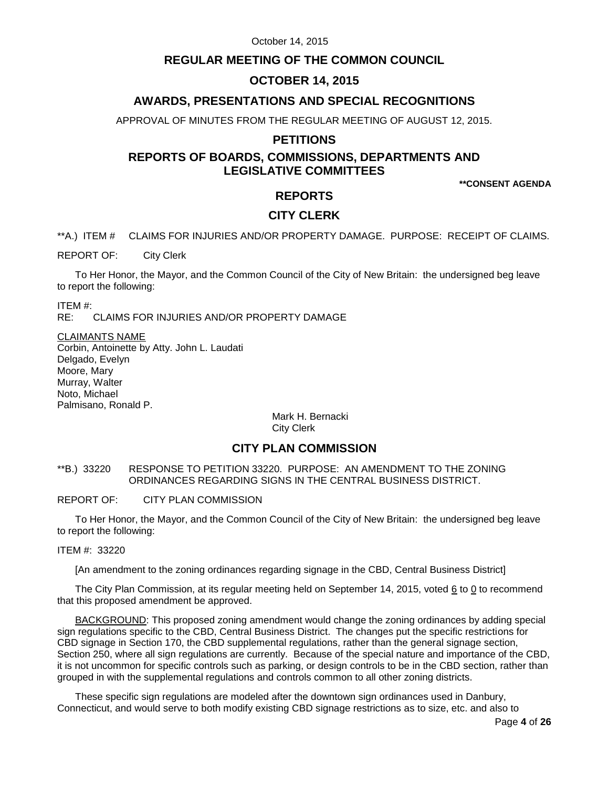# **REGULAR MEETING OF THE COMMON COUNCIL**

# **OCTOBER 14, 2015**

# **AWARDS, PRESENTATIONS AND SPECIAL RECOGNITIONS**

APPROVAL OF MINUTES FROM THE REGULAR MEETING OF AUGUST 12, 2015.

### **PETITIONS**

# **REPORTS OF BOARDS, COMMISSIONS, DEPARTMENTS AND LEGISLATIVE COMMITTEES**

**\*\*CONSENT AGENDA**

# **REPORTS**

# **CITY CLERK**

<span id="page-3-0"></span>\*\*A.) ITEM # CLAIMS FOR INJURIES AND/OR PROPERTY DAMAGE. PURPOSE: RECEIPT OF CLAIMS.

REPORT OF: City Clerk

To Her Honor, the Mayor, and the Common Council of the City of New Britain: the undersigned beg leave to report the following:

ITEM #:

RE: CLAIMS FOR INJURIES AND/OR PROPERTY DAMAGE

#### CLAIMANTS NAME

Corbin, Antoinette by Atty. John L. Laudati Delgado, Evelyn Moore, Mary Murray, Walter Noto, Michael Palmisano, Ronald P.

> Mark H. Bernacki City Clerk

# **CITY PLAN COMMISSION**

<span id="page-3-1"></span>\*\*B.) 33220 RESPONSE TO PETITION 33220. PURPOSE: AN AMENDMENT TO THE ZONING ORDINANCES REGARDING SIGNS IN THE CENTRAL BUSINESS DISTRICT.

REPORT OF: CITY PLAN COMMISSION

To Her Honor, the Mayor, and the Common Council of the City of New Britain: the undersigned beg leave to report the following:

ITEM #: 33220

[An amendment to the zoning ordinances regarding signage in the CBD, Central Business District]

The City Plan Commission, at its regular meeting held on September 14, 2015, voted  $6$  to  $0$  to recommend that this proposed amendment be approved.

BACKGROUND: This proposed zoning amendment would change the zoning ordinances by adding special sign regulations specific to the CBD, Central Business District. The changes put the specific restrictions for CBD signage in Section 170, the CBD supplemental regulations, rather than the general signage section, Section 250, where all sign regulations are currently. Because of the special nature and importance of the CBD, it is not uncommon for specific controls such as parking, or design controls to be in the CBD section, rather than grouped in with the supplemental regulations and controls common to all other zoning districts.

These specific sign regulations are modeled after the downtown sign ordinances used in Danbury, Connecticut, and would serve to both modify existing CBD signage restrictions as to size, etc. and also to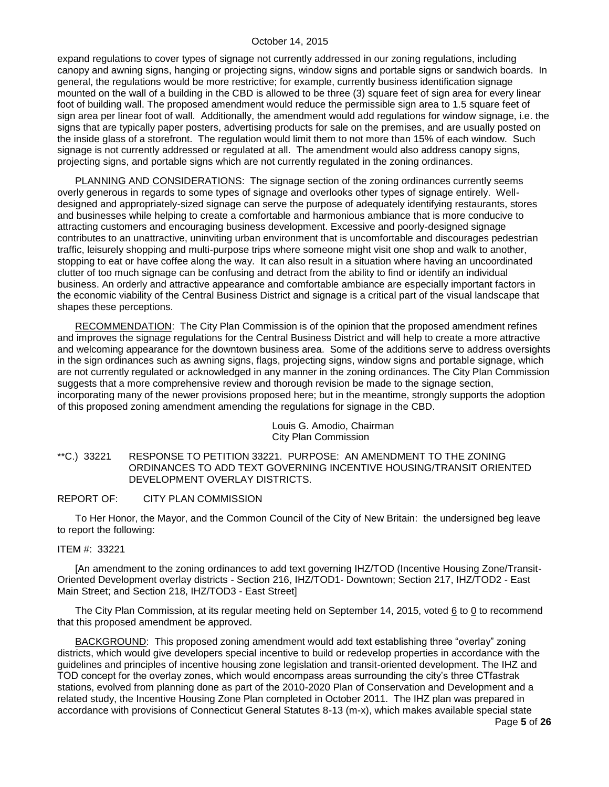expand regulations to cover types of signage not currently addressed in our zoning regulations, including canopy and awning signs, hanging or projecting signs, window signs and portable signs or sandwich boards. In general, the regulations would be more restrictive; for example, currently business identification signage mounted on the wall of a building in the CBD is allowed to be three (3) square feet of sign area for every linear foot of building wall. The proposed amendment would reduce the permissible sign area to 1.5 square feet of sign area per linear foot of wall. Additionally, the amendment would add regulations for window signage, i.e. the signs that are typically paper posters, advertising products for sale on the premises, and are usually posted on the inside glass of a storefront. The regulation would limit them to not more than 15% of each window. Such signage is not currently addressed or regulated at all. The amendment would also address canopy signs, projecting signs, and portable signs which are not currently regulated in the zoning ordinances.

PLANNING AND CONSIDERATIONS: The signage section of the zoning ordinances currently seems overly generous in regards to some types of signage and overlooks other types of signage entirely. Welldesigned and appropriately-sized signage can serve the purpose of adequately identifying restaurants, stores and businesses while helping to create a comfortable and harmonious ambiance that is more conducive to attracting customers and encouraging business development. Excessive and poorly-designed signage contributes to an unattractive, uninviting urban environment that is uncomfortable and discourages pedestrian traffic, leisurely shopping and multi-purpose trips where someone might visit one shop and walk to another, stopping to eat or have coffee along the way. It can also result in a situation where having an uncoordinated clutter of too much signage can be confusing and detract from the ability to find or identify an individual business. An orderly and attractive appearance and comfortable ambiance are especially important factors in the economic viability of the Central Business District and signage is a critical part of the visual landscape that shapes these perceptions.

RECOMMENDATION: The City Plan Commission is of the opinion that the proposed amendment refines and improves the signage regulations for the Central Business District and will help to create a more attractive and welcoming appearance for the downtown business area. Some of the additions serve to address oversights in the sign ordinances such as awning signs, flags, projecting signs, window signs and portable signage, which are not currently regulated or acknowledged in any manner in the zoning ordinances. The City Plan Commission suggests that a more comprehensive review and thorough revision be made to the signage section, incorporating many of the newer provisions proposed here; but in the meantime, strongly supports the adoption of this proposed zoning amendment amending the regulations for signage in the CBD.

> Louis G. Amodio, Chairman City Plan Commission

<span id="page-4-0"></span>\*\*C.) 33221 RESPONSE TO PETITION 33221. PURPOSE: AN AMENDMENT TO THE ZONING ORDINANCES TO ADD TEXT GOVERNING INCENTIVE HOUSING/TRANSIT ORIENTED DEVELOPMENT OVERLAY DISTRICTS.

#### REPORT OF: CITY PLAN COMMISSION

To Her Honor, the Mayor, and the Common Council of the City of New Britain: the undersigned beg leave to report the following:

#### ITEM #: 33221

[An amendment to the zoning ordinances to add text governing IHZ/TOD (Incentive Housing Zone/Transit-Oriented Development overlay districts - Section 216, IHZ/TOD1- Downtown; Section 217, IHZ/TOD2 - East Main Street; and Section 218, IHZ/TOD3 - East Street]

The City Plan Commission, at its regular meeting held on September 14, 2015, voted 6 to 0 to recommend that this proposed amendment be approved.

BACKGROUND: This proposed zoning amendment would add text establishing three "overlay" zoning districts, which would give developers special incentive to build or redevelop properties in accordance with the guidelines and principles of incentive housing zone legislation and transit-oriented development. The IHZ and TOD concept for the overlay zones, which would encompass areas surrounding the city's three CTfastrak stations, evolved from planning done as part of the 2010-2020 Plan of Conservation and Development and a related study, the Incentive Housing Zone Plan completed in October 2011. The IHZ plan was prepared in accordance with provisions of Connecticut General Statutes 8-13 (m-x), which makes available special state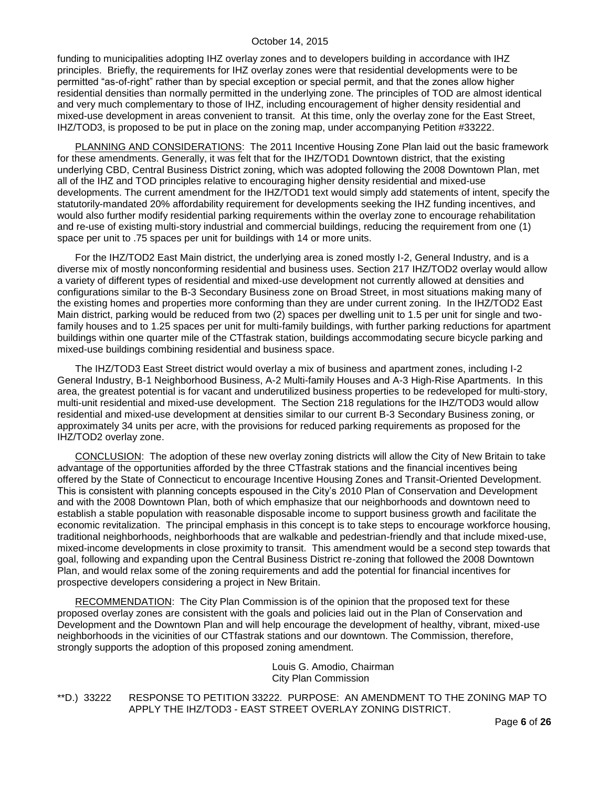funding to municipalities adopting IHZ overlay zones and to developers building in accordance with IHZ principles. Briefly, the requirements for IHZ overlay zones were that residential developments were to be permitted "as-of-right" rather than by special exception or special permit, and that the zones allow higher residential densities than normally permitted in the underlying zone. The principles of TOD are almost identical and very much complementary to those of IHZ, including encouragement of higher density residential and mixed-use development in areas convenient to transit. At this time, only the overlay zone for the East Street, IHZ/TOD3, is proposed to be put in place on the zoning map, under accompanying Petition #33222.

PLANNING AND CONSIDERATIONS: The 2011 Incentive Housing Zone Plan laid out the basic framework for these amendments. Generally, it was felt that for the IHZ/TOD1 Downtown district, that the existing underlying CBD, Central Business District zoning, which was adopted following the 2008 Downtown Plan, met all of the IHZ and TOD principles relative to encouraging higher density residential and mixed-use developments. The current amendment for the IHZ/TOD1 text would simply add statements of intent, specify the statutorily-mandated 20% affordability requirement for developments seeking the IHZ funding incentives, and would also further modify residential parking requirements within the overlay zone to encourage rehabilitation and re-use of existing multi-story industrial and commercial buildings, reducing the requirement from one (1) space per unit to .75 spaces per unit for buildings with 14 or more units.

For the IHZ/TOD2 East Main district, the underlying area is zoned mostly I-2, General Industry, and is a diverse mix of mostly nonconforming residential and business uses. Section 217 IHZ/TOD2 overlay would allow a variety of different types of residential and mixed-use development not currently allowed at densities and configurations similar to the B-3 Secondary Business zone on Broad Street, in most situations making many of the existing homes and properties more conforming than they are under current zoning. In the IHZ/TOD2 East Main district, parking would be reduced from two (2) spaces per dwelling unit to 1.5 per unit for single and twofamily houses and to 1.25 spaces per unit for multi-family buildings, with further parking reductions for apartment buildings within one quarter mile of the CTfastrak station, buildings accommodating secure bicycle parking and mixed-use buildings combining residential and business space.

The IHZ/TOD3 East Street district would overlay a mix of business and apartment zones, including I-2 General Industry, B-1 Neighborhood Business, A-2 Multi-family Houses and A-3 High-Rise Apartments. In this area, the greatest potential is for vacant and underutilized business properties to be redeveloped for multi-story, multi-unit residential and mixed-use development. The Section 218 regulations for the IHZ/TOD3 would allow residential and mixed-use development at densities similar to our current B-3 Secondary Business zoning, or approximately 34 units per acre, with the provisions for reduced parking requirements as proposed for the IHZ/TOD2 overlay zone.

CONCLUSION: The adoption of these new overlay zoning districts will allow the City of New Britain to take advantage of the opportunities afforded by the three CTfastrak stations and the financial incentives being offered by the State of Connecticut to encourage Incentive Housing Zones and Transit-Oriented Development. This is consistent with planning concepts espoused in the City's 2010 Plan of Conservation and Development and with the 2008 Downtown Plan, both of which emphasize that our neighborhoods and downtown need to establish a stable population with reasonable disposable income to support business growth and facilitate the economic revitalization. The principal emphasis in this concept is to take steps to encourage workforce housing, traditional neighborhoods, neighborhoods that are walkable and pedestrian-friendly and that include mixed-use, mixed-income developments in close proximity to transit. This amendment would be a second step towards that goal, following and expanding upon the Central Business District re-zoning that followed the 2008 Downtown Plan, and would relax some of the zoning requirements and add the potential for financial incentives for prospective developers considering a project in New Britain.

RECOMMENDATION: The City Plan Commission is of the opinion that the proposed text for these proposed overlay zones are consistent with the goals and policies laid out in the Plan of Conservation and Development and the Downtown Plan and will help encourage the development of healthy, vibrant, mixed-use neighborhoods in the vicinities of our CTfastrak stations and our downtown. The Commission, therefore, strongly supports the adoption of this proposed zoning amendment.

> Louis G. Amodio, Chairman City Plan Commission

<span id="page-5-0"></span>\*\*D.) 33222 RESPONSE TO PETITION 33222. PURPOSE: AN AMENDMENT TO THE ZONING MAP TO APPLY THE IHZ/TOD3 - EAST STREET OVERLAY ZONING DISTRICT.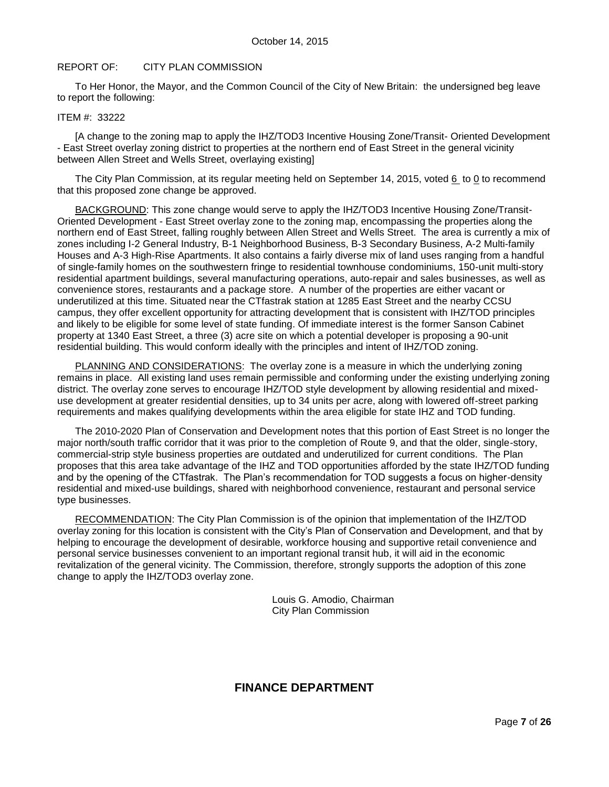#### REPORT OF: CITY PLAN COMMISSION

To Her Honor, the Mayor, and the Common Council of the City of New Britain: the undersigned beg leave to report the following:

#### ITEM #: 33222

[A change to the zoning map to apply the IHZ/TOD3 Incentive Housing Zone/Transit- Oriented Development - East Street overlay zoning district to properties at the northern end of East Street in the general vicinity between Allen Street and Wells Street, overlaying existing]

The City Plan Commission, at its regular meeting held on September 14, 2015, voted 6 to 0 to recommend that this proposed zone change be approved.

BACKGROUND: This zone change would serve to apply the IHZ/TOD3 Incentive Housing Zone/Transit-Oriented Development - East Street overlay zone to the zoning map, encompassing the properties along the northern end of East Street, falling roughly between Allen Street and Wells Street. The area is currently a mix of zones including I-2 General Industry, B-1 Neighborhood Business, B-3 Secondary Business, A-2 Multi-family Houses and A-3 High-Rise Apartments. It also contains a fairly diverse mix of land uses ranging from a handful of single-family homes on the southwestern fringe to residential townhouse condominiums, 150-unit multi-story residential apartment buildings, several manufacturing operations, auto-repair and sales businesses, as well as convenience stores, restaurants and a package store. A number of the properties are either vacant or underutilized at this time. Situated near the CTfastrak station at 1285 East Street and the nearby CCSU campus, they offer excellent opportunity for attracting development that is consistent with IHZ/TOD principles and likely to be eligible for some level of state funding. Of immediate interest is the former Sanson Cabinet property at 1340 East Street, a three (3) acre site on which a potential developer is proposing a 90-unit residential building. This would conform ideally with the principles and intent of IHZ/TOD zoning.

PLANNING AND CONSIDERATIONS: The overlay zone is a measure in which the underlying zoning remains in place. All existing land uses remain permissible and conforming under the existing underlying zoning district. The overlay zone serves to encourage IHZ/TOD style development by allowing residential and mixeduse development at greater residential densities, up to 34 units per acre, along with lowered off-street parking requirements and makes qualifying developments within the area eligible for state IHZ and TOD funding.

The 2010-2020 Plan of Conservation and Development notes that this portion of East Street is no longer the major north/south traffic corridor that it was prior to the completion of Route 9, and that the older, single-story, commercial-strip style business properties are outdated and underutilized for current conditions. The Plan proposes that this area take advantage of the IHZ and TOD opportunities afforded by the state IHZ/TOD funding and by the opening of the CTfastrak. The Plan's recommendation for TOD suggests a focus on higher-density residential and mixed-use buildings, shared with neighborhood convenience, restaurant and personal service type businesses.

RECOMMENDATION: The City Plan Commission is of the opinion that implementation of the IHZ/TOD overlay zoning for this location is consistent with the City's Plan of Conservation and Development, and that by helping to encourage the development of desirable, workforce housing and supportive retail convenience and personal service businesses convenient to an important regional transit hub, it will aid in the economic revitalization of the general vicinity. The Commission, therefore, strongly supports the adoption of this zone change to apply the IHZ/TOD3 overlay zone.

> Louis G. Amodio, Chairman City Plan Commission

# **FINANCE DEPARTMENT**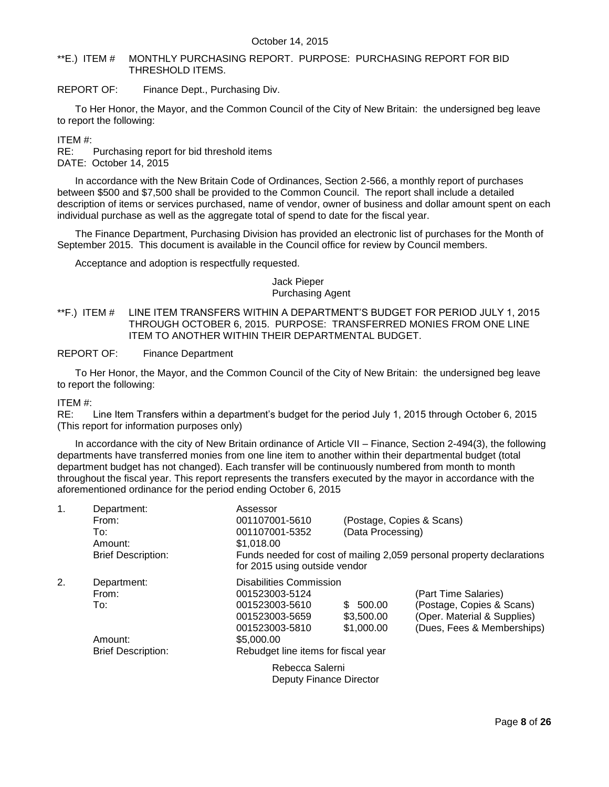#### <span id="page-7-0"></span>\*\*E.) ITEM # MONTHLY PURCHASING REPORT. PURPOSE: PURCHASING REPORT FOR BID THRESHOLD ITEMS.

REPORT OF: Finance Dept., Purchasing Div.

To Her Honor, the Mayor, and the Common Council of the City of New Britain: the undersigned beg leave to report the following:

ITEM #:

RE: Purchasing report for bid threshold items DATE: October 14, 2015

In accordance with the New Britain Code of Ordinances, Section 2-566, a monthly report of purchases between \$500 and \$7,500 shall be provided to the Common Council. The report shall include a detailed description of items or services purchased, name of vendor, owner of business and dollar amount spent on each individual purchase as well as the aggregate total of spend to date for the fiscal year.

The Finance Department, Purchasing Division has provided an electronic list of purchases for the Month of September 2015. This document is available in the Council office for review by Council members.

Acceptance and adoption is respectfully requested.

# Jack Pieper Purchasing Agent

<span id="page-7-1"></span>\*\*F.) ITEM # LINE ITEM TRANSFERS WITHIN A DEPARTMENT'S BUDGET FOR PERIOD JULY 1, 2015 THROUGH OCTOBER 6, 2015. PURPOSE: TRANSFERRED MONIES FROM ONE LINE ITEM TO ANOTHER WITHIN THEIR DEPARTMENTAL BUDGET.

REPORT OF: Finance Department

To Her Honor, the Mayor, and the Common Council of the City of New Britain: the undersigned beg leave to report the following:

ITEM #:

RE: Line Item Transfers within a department's budget for the period July 1, 2015 through October 6, 2015 (This report for information purposes only)

In accordance with the city of New Britain ordinance of Article VII – Finance, Section 2-494(3), the following departments have transferred monies from one line item to another within their departmental budget (total department budget has not changed). Each transfer will be continuously numbered from month to month throughout the fiscal year. This report represents the transfers executed by the mayor in accordance with the aforementioned ordinance for the period ending October 6, 2015

| 1. | Department:               | Assessor                            |                   |                                                                       |
|----|---------------------------|-------------------------------------|-------------------|-----------------------------------------------------------------------|
|    | From:                     | 001107001-5610                      |                   | (Postage, Copies & Scans)                                             |
|    | To:                       | 001107001-5352                      | (Data Processing) |                                                                       |
|    | Amount:                   | \$1,018.00                          |                   |                                                                       |
|    | <b>Brief Description:</b> | for 2015 using outside vendor       |                   | Funds needed for cost of mailing 2,059 personal property declarations |
|    |                           |                                     |                   |                                                                       |
| 2. | Department:               | Disabilities Commission             |                   |                                                                       |
|    | From:                     | 001523003-5124                      |                   | (Part Time Salaries)                                                  |
|    | To:                       | 001523003-5610                      | \$ 500.00         | (Postage, Copies & Scans)                                             |
|    |                           | 001523003-5659                      | \$3,500.00        | (Oper. Material & Supplies)                                           |
|    |                           | 001523003-5810                      | \$1,000.00        | (Dues, Fees & Memberships)                                            |
|    | Amount:                   | \$5,000.00                          |                   |                                                                       |
|    | <b>Brief Description:</b> | Rebudget line items for fiscal year |                   |                                                                       |
|    |                           | Rebecca Salerni                     |                   |                                                                       |
|    |                           | Deputy Finance Director             |                   |                                                                       |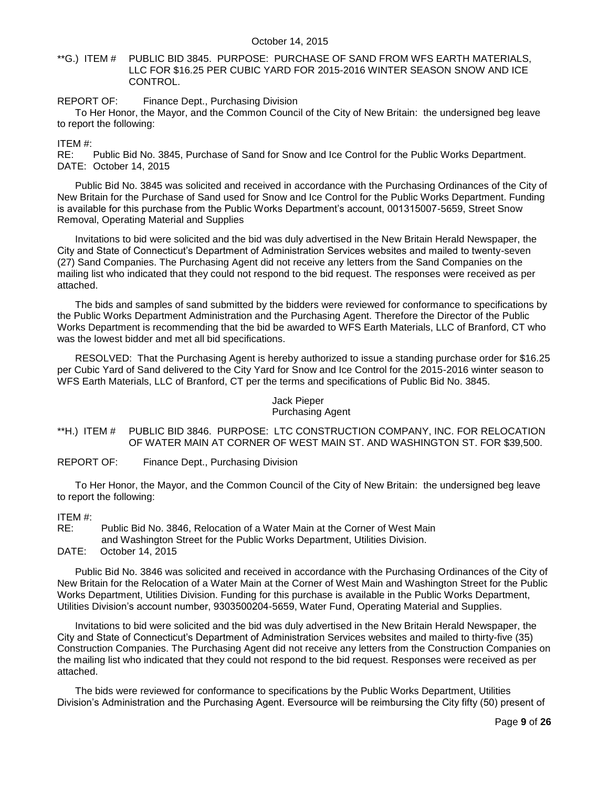<span id="page-8-0"></span>\*\*G.) ITEM # PUBLIC BID 3845. PURPOSE: PURCHASE OF SAND FROM WFS EARTH MATERIALS, LLC FOR \$16.25 PER CUBIC YARD FOR 2015-2016 WINTER SEASON SNOW AND ICE CONTROL.

REPORT OF: Finance Dept., Purchasing Division

To Her Honor, the Mayor, and the Common Council of the City of New Britain: the undersigned beg leave to report the following:

ITEM #:

RE: Public Bid No. 3845, Purchase of Sand for Snow and Ice Control for the Public Works Department. DATE: October 14, 2015

Public Bid No. 3845 was solicited and received in accordance with the Purchasing Ordinances of the City of New Britain for the Purchase of Sand used for Snow and Ice Control for the Public Works Department. Funding is available for this purchase from the Public Works Department's account, 001315007-5659, Street Snow Removal, Operating Material and Supplies

Invitations to bid were solicited and the bid was duly advertised in the New Britain Herald Newspaper, the City and State of Connecticut's Department of Administration Services websites and mailed to twenty-seven (27) Sand Companies. The Purchasing Agent did not receive any letters from the Sand Companies on the mailing list who indicated that they could not respond to the bid request. The responses were received as per attached.

The bids and samples of sand submitted by the bidders were reviewed for conformance to specifications by the Public Works Department Administration and the Purchasing Agent. Therefore the Director of the Public Works Department is recommending that the bid be awarded to WFS Earth Materials, LLC of Branford, CT who was the lowest bidder and met all bid specifications.

RESOLVED: That the Purchasing Agent is hereby authorized to issue a standing purchase order for \$16.25 per Cubic Yard of Sand delivered to the City Yard for Snow and Ice Control for the 2015-2016 winter season to WFS Earth Materials, LLC of Branford, CT per the terms and specifications of Public Bid No. 3845.

# Jack Pieper

# Purchasing Agent

<span id="page-8-1"></span>\*\*H.) ITEM # PUBLIC BID 3846. PURPOSE: LTC CONSTRUCTION COMPANY, INC. FOR RELOCATION OF WATER MAIN AT CORNER OF WEST MAIN ST. AND WASHINGTON ST. FOR \$39,500.

REPORT OF: Finance Dept., Purchasing Division

To Her Honor, the Mayor, and the Common Council of the City of New Britain: the undersigned beg leave to report the following:

ITEM #:

RE: Public Bid No. 3846, Relocation of a Water Main at the Corner of West Main and Washington Street for the Public Works Department, Utilities Division.

DATE: October 14, 2015

Public Bid No. 3846 was solicited and received in accordance with the Purchasing Ordinances of the City of New Britain for the Relocation of a Water Main at the Corner of West Main and Washington Street for the Public Works Department, Utilities Division. Funding for this purchase is available in the Public Works Department, Utilities Division's account number, 9303500204-5659, Water Fund, Operating Material and Supplies.

Invitations to bid were solicited and the bid was duly advertised in the New Britain Herald Newspaper, the City and State of Connecticut's Department of Administration Services websites and mailed to thirty-five (35) Construction Companies. The Purchasing Agent did not receive any letters from the Construction Companies on the mailing list who indicated that they could not respond to the bid request. Responses were received as per attached.

The bids were reviewed for conformance to specifications by the Public Works Department, Utilities Division's Administration and the Purchasing Agent. Eversource will be reimbursing the City fifty (50) present of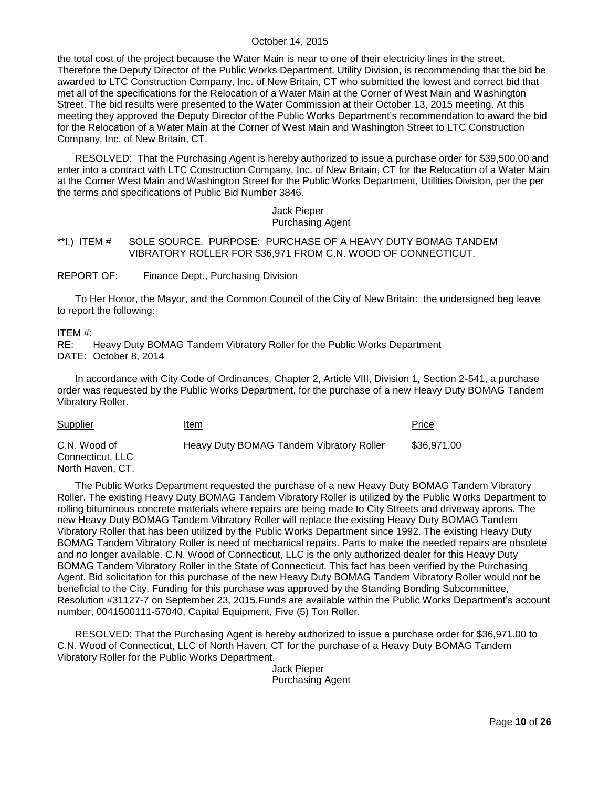the total cost of the project because the Water Main is near to one of their electricity lines in the street. Therefore the Deputy Director of the Public Works Department, Utility Division, is recommending that the bid be awarded to LTC Construction Company, Inc. of New Britain, CT who submitted the lowest and correct bid that met all of the specifications for the Relocation of a Water Main at the Corner of West Main and Washington Street. The bid results were presented to the Water Commission at their October 13, 2015 meeting. At this meeting they approved the Deputy Director of the Public Works Department's recommendation to award the bid for the Relocation of a Water Main at the Corner of West Main and Washington Street to LTC Construction Company, Inc. of New Britain, CT.

RESOLVED: That the Purchasing Agent is hereby authorized to issue a purchase order for \$39,500.00 and enter into a contract with LTC Construction Company, Inc. of New Britain, CT for the Relocation of a Water Main at the Corner West Main and Washington Street for the Public Works Department, Utilities Division, per the per the terms and specifications of Public Bid Number 3846.

#### Jack Pieper Purchasing Agent

#### <span id="page-9-0"></span>\*\*I.) ITEM # SOLE SOURCE. PURPOSE: PURCHASE OF A HEAVY DUTY BOMAG TANDEM VIBRATORY ROLLER FOR \$36,971 FROM C.N. WOOD OF CONNECTICUT.

REPORT OF: Finance Dept., Purchasing Division

To Her Honor, the Mayor, and the Common Council of the City of New Britain: the undersigned beg leave to report the following:

ITEM #:

RE: Heavy Duty BOMAG Tandem Vibratory Roller for the Public Works Department DATE: October 8, 2014

In accordance with City Code of Ordinances, Chapter 2, Article VIII, Division 1, Section 2-541, a purchase order was requested by the Public Works Department, for the purchase of a new Heavy Duty BOMAG Tandem Vibratory Roller.

| <b>Supplier</b>                                      | Item                                     | Price       |
|------------------------------------------------------|------------------------------------------|-------------|
| C.N. Wood of<br>Connecticut. LLC<br>North Haven, CT. | Heavy Duty BOMAG Tandem Vibratory Roller | \$36,971.00 |

The Public Works Department requested the purchase of a new Heavy Duty BOMAG Tandem Vibratory Roller. The existing Heavy Duty BOMAG Tandem Vibratory Roller is utilized by the Public Works Department to rolling bituminous concrete materials where repairs are being made to City Streets and driveway aprons. The new Heavy Duty BOMAG Tandem Vibratory Roller will replace the existing Heavy Duty BOMAG Tandem Vibratory Roller that has been utilized by the Public Works Department since 1992. The existing Heavy Duty BOMAG Tandem Vibratory Roller is need of mechanical repairs. Parts to make the needed repairs are obsolete and no longer available. C.N. Wood of Connecticut, LLC is the only authorized dealer for this Heavy Duty BOMAG Tandem Vibratory Roller in the State of Connecticut. This fact has been verified by the Purchasing Agent. Bid solicitation for this purchase of the new Heavy Duty BOMAG Tandem Vibratory Roller would not be beneficial to the City. Funding for this purchase was approved by the Standing Bonding Subcommittee, Resolution #31127-7 on September 23, 2015.Funds are available within the Public Works Department's account number, 0041500111-57040, Capital Equipment, Five (5) Ton Roller.

RESOLVED: That the Purchasing Agent is hereby authorized to issue a purchase order for \$36,971.00 to C.N. Wood of Connecticut, LLC of North Haven, CT for the purchase of a Heavy Duty BOMAG Tandem Vibratory Roller for the Public Works Department.

> Jack Pieper Purchasing Agent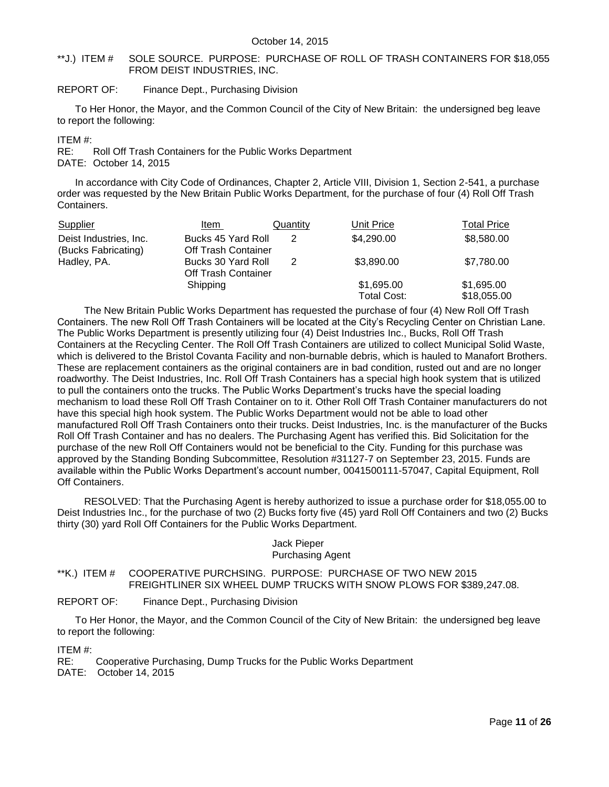#### <span id="page-10-0"></span>\*\*J.) ITEM # SOLE SOURCE. PURPOSE: PURCHASE OF ROLL OF TRASH CONTAINERS FOR \$18,055 FROM DEIST INDUSTRIES, INC.

#### REPORT OF: Finance Dept., Purchasing Division

To Her Honor, the Mayor, and the Common Council of the City of New Britain: the undersigned beg leave to report the following:

#### ITEM #:

RE: Roll Off Trash Containers for the Public Works Department DATE: October 14, 2015

In accordance with City Code of Ordinances, Chapter 2, Article VIII, Division 1, Section 2-541, a purchase order was requested by the New Britain Public Works Department, for the purchase of four (4) Roll Off Trash Containers.

| Supplier                                      | Item                                             | Quantity | Unit Price                | <b>Total Price</b>        |
|-----------------------------------------------|--------------------------------------------------|----------|---------------------------|---------------------------|
| Deist Industries, Inc.<br>(Bucks Fabricating) | Bucks 45 Yard Roll<br><b>Off Trash Container</b> | 2        | \$4,290.00                | \$8,580.00                |
| Hadley, PA.                                   | Bucks 30 Yard Roll<br><b>Off Trash Container</b> | 2        | \$3,890.00                | \$7,780.00                |
|                                               | Shipping                                         |          | \$1,695.00<br>Total Cost: | \$1,695.00<br>\$18,055.00 |

The New Britain Public Works Department has requested the purchase of four (4) New Roll Off Trash Containers. The new Roll Off Trash Containers will be located at the City's Recycling Center on Christian Lane. The Public Works Department is presently utilizing four (4) Deist Industries Inc., Bucks, Roll Off Trash Containers at the Recycling Center. The Roll Off Trash Containers are utilized to collect Municipal Solid Waste, which is delivered to the Bristol Covanta Facility and non-burnable debris, which is hauled to Manafort Brothers. These are replacement containers as the original containers are in bad condition, rusted out and are no longer roadworthy. The Deist Industries, Inc. Roll Off Trash Containers has a special high hook system that is utilized to pull the containers onto the trucks. The Public Works Department's trucks have the special loading mechanism to load these Roll Off Trash Container on to it. Other Roll Off Trash Container manufacturers do not have this special high hook system. The Public Works Department would not be able to load other manufactured Roll Off Trash Containers onto their trucks. Deist Industries, Inc. is the manufacturer of the Bucks Roll Off Trash Container and has no dealers. The Purchasing Agent has verified this. Bid Solicitation for the purchase of the new Roll Off Containers would not be beneficial to the City. Funding for this purchase was approved by the Standing Bonding Subcommittee, Resolution #31127-7 on September 23, 2015. Funds are available within the Public Works Department's account number, 0041500111-57047, Capital Equipment, Roll Off Containers.

RESOLVED: That the Purchasing Agent is hereby authorized to issue a purchase order for \$18,055.00 to Deist Industries Inc., for the purchase of two (2) Bucks forty five (45) yard Roll Off Containers and two (2) Bucks thirty (30) yard Roll Off Containers for the Public Works Department.

# Jack Pieper Purchasing Agent

#### <span id="page-10-1"></span>\*\*K.) ITEM # COOPERATIVE PURCHSING. PURPOSE: PURCHASE OF TWO NEW 2015 FREIGHTLINER SIX WHEEL DUMP TRUCKS WITH SNOW PLOWS FOR \$389,247.08.

#### REPORT OF: Finance Dept., Purchasing Division

To Her Honor, the Mayor, and the Common Council of the City of New Britain: the undersigned beg leave to report the following:

ITEM #:

RE: Cooperative Purchasing, Dump Trucks for the Public Works Department DATE: October 14, 2015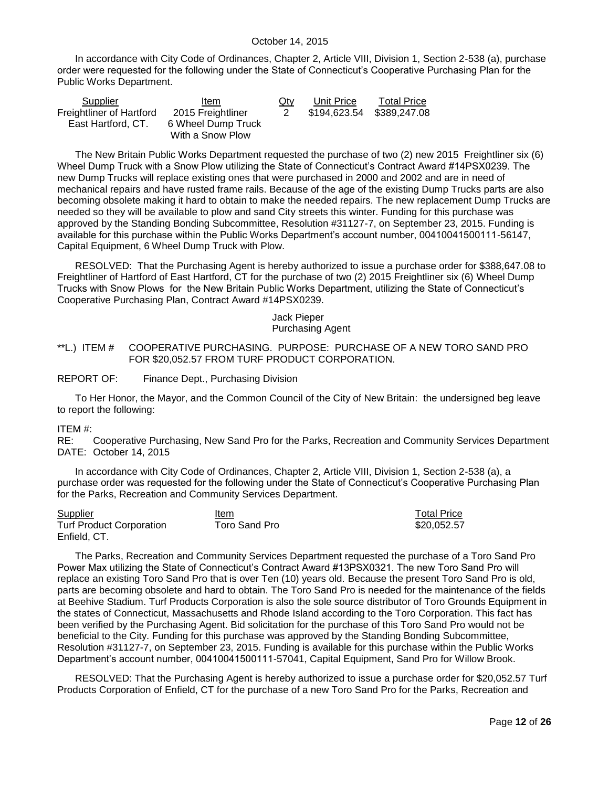In accordance with City Code of Ordinances, Chapter 2, Article VIII, Division 1, Section 2-538 (a), purchase order were requested for the following under the State of Connecticut's Cooperative Purchasing Plan for the Public Works Department.

| Supplier                 | Item               | $Q$ ty | Unit Price                | <b>Total Price</b> |
|--------------------------|--------------------|--------|---------------------------|--------------------|
| Freightliner of Hartford | 2015 Freightliner  | 2      | \$194,623.54 \$389,247.08 |                    |
| East Hartford, CT.       | 6 Wheel Dump Truck |        |                           |                    |
|                          | With a Snow Plow   |        |                           |                    |

The New Britain Public Works Department requested the purchase of two (2) new 2015 Freightliner six (6) Wheel Dump Truck with a Snow Plow utilizing the State of Connecticut's Contract Award #14PSX0239. The new Dump Trucks will replace existing ones that were purchased in 2000 and 2002 and are in need of mechanical repairs and have rusted frame rails. Because of the age of the existing Dump Trucks parts are also becoming obsolete making it hard to obtain to make the needed repairs. The new replacement Dump Trucks are needed so they will be available to plow and sand City streets this winter. Funding for this purchase was approved by the Standing Bonding Subcommittee, Resolution #31127-7, on September 23, 2015. Funding is available for this purchase within the Public Works Department's account number, 00410041500111-56147, Capital Equipment, 6 Wheel Dump Truck with Plow.

RESOLVED: That the Purchasing Agent is hereby authorized to issue a purchase order for \$388,647.08 to Freightliner of Hartford of East Hartford, CT for the purchase of two (2) 2015 Freightliner six (6) Wheel Dump Trucks with Snow Plows for the New Britain Public Works Department, utilizing the State of Connecticut's Cooperative Purchasing Plan, Contract Award #14PSX0239.

#### Jack Pieper Purchasing Agent

#### <span id="page-11-0"></span>\*\*L.) ITEM # COOPERATIVE PURCHASING. PURPOSE: PURCHASE OF A NEW TORO SAND PRO FOR \$20,052.57 FROM TURF PRODUCT CORPORATION.

REPORT OF: Finance Dept., Purchasing Division

To Her Honor, the Mayor, and the Common Council of the City of New Britain: the undersigned beg leave to report the following:

#### ITEM #:

RE: Cooperative Purchasing, New Sand Pro for the Parks, Recreation and Community Services Department DATE: October 14, 2015

In accordance with City Code of Ordinances, Chapter 2, Article VIII, Division 1, Section 2-538 (a), a purchase order was requested for the following under the State of Connecticut's Cooperative Purchasing Plan for the Parks, Recreation and Community Services Department.

| <b>Supplier</b>                 | Item          | <b>Total Price</b> |
|---------------------------------|---------------|--------------------|
| <b>Turf Product Corporation</b> | Toro Sand Pro | \$20,052.57        |
| Enfield, CT.                    |               |                    |

The Parks, Recreation and Community Services Department requested the purchase of a Toro Sand Pro Power Max utilizing the State of Connecticut's Contract Award #13PSX0321. The new Toro Sand Pro will replace an existing Toro Sand Pro that is over Ten (10) years old. Because the present Toro Sand Pro is old, parts are becoming obsolete and hard to obtain. The Toro Sand Pro is needed for the maintenance of the fields at Beehive Stadium. Turf Products Corporation is also the sole source distributor of Toro Grounds Equipment in the states of Connecticut, Massachusetts and Rhode Island according to the Toro Corporation. This fact has been verified by the Purchasing Agent. Bid solicitation for the purchase of this Toro Sand Pro would not be beneficial to the City. Funding for this purchase was approved by the Standing Bonding Subcommittee, Resolution #31127-7, on September 23, 2015. Funding is available for this purchase within the Public Works Department's account number, 00410041500111-57041, Capital Equipment, Sand Pro for Willow Brook.

RESOLVED: That the Purchasing Agent is hereby authorized to issue a purchase order for \$20,052.57 Turf Products Corporation of Enfield, CT for the purchase of a new Toro Sand Pro for the Parks, Recreation and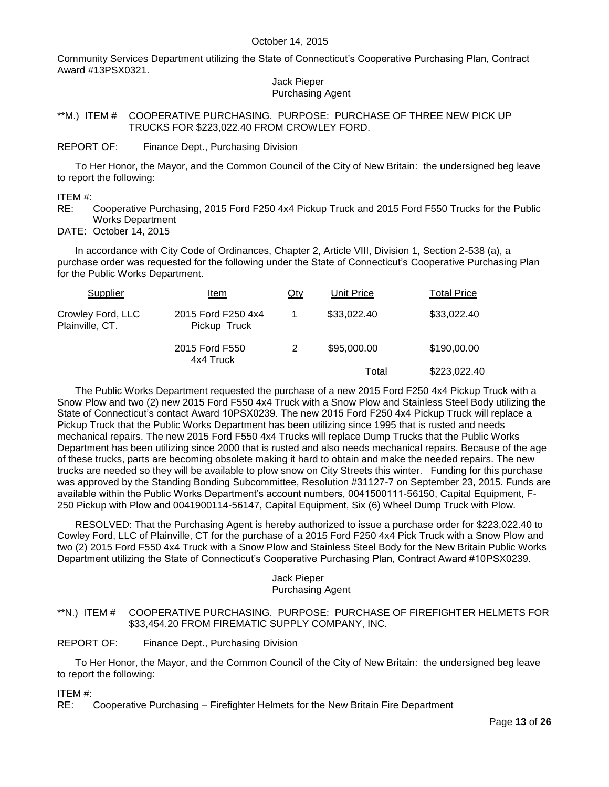Community Services Department utilizing the State of Connecticut's Cooperative Purchasing Plan, Contract Award #13PSX0321.

#### Jack Pieper Purchasing Agent

<span id="page-12-0"></span>\*\*M.) ITEM # COOPERATIVE PURCHASING. PURPOSE: PURCHASE OF THREE NEW PICK UP TRUCKS FOR \$223,022.40 FROM CROWLEY FORD.

REPORT OF: Finance Dept., Purchasing Division

To Her Honor, the Mayor, and the Common Council of the City of New Britain: the undersigned beg leave to report the following:

ITEM #:

RE: Cooperative Purchasing, 2015 Ford F250 4x4 Pickup Truck and 2015 Ford F550 Trucks for the Public Works Department

DATE: October 14, 2015

In accordance with City Code of Ordinances, Chapter 2, Article VIII, Division 1, Section 2-538 (a), a purchase order was requested for the following under the State of Connecticut's Cooperative Purchasing Plan for the Public Works Department.

| Supplier                             | Item                               | Qty | Unit Price  | <b>Total Price</b> |
|--------------------------------------|------------------------------------|-----|-------------|--------------------|
| Crowley Ford, LLC<br>Plainville, CT. | 2015 Ford F250 4x4<br>Pickup Truck |     | \$33,022.40 | \$33,022.40        |
|                                      | 2015 Ford F550<br>4x4 Truck        |     | \$95,000.00 | \$190,00.00        |
|                                      |                                    |     | Total       | \$223,022.40       |

The Public Works Department requested the purchase of a new 2015 Ford F250 4x4 Pickup Truck with a Snow Plow and two (2) new 2015 Ford F550 4x4 Truck with a Snow Plow and Stainless Steel Body utilizing the State of Connecticut's contact Award 10PSX0239. The new 2015 Ford F250 4x4 Pickup Truck will replace a Pickup Truck that the Public Works Department has been utilizing since 1995 that is rusted and needs mechanical repairs. The new 2015 Ford F550 4x4 Trucks will replace Dump Trucks that the Public Works Department has been utilizing since 2000 that is rusted and also needs mechanical repairs. Because of the age of these trucks, parts are becoming obsolete making it hard to obtain and make the needed repairs. The new trucks are needed so they will be available to plow snow on City Streets this winter. Funding for this purchase was approved by the Standing Bonding Subcommittee, Resolution #31127-7 on September 23, 2015. Funds are available within the Public Works Department's account numbers, 0041500111-56150, Capital Equipment, F-250 Pickup with Plow and 0041900114-56147, Capital Equipment, Six (6) Wheel Dump Truck with Plow.

RESOLVED: That the Purchasing Agent is hereby authorized to issue a purchase order for \$223,022.40 to Cowley Ford, LLC of Plainville, CT for the purchase of a 2015 Ford F250 4x4 Pick Truck with a Snow Plow and two (2) 2015 Ford F550 4x4 Truck with a Snow Plow and Stainless Steel Body for the New Britain Public Works Department utilizing the State of Connecticut's Cooperative Purchasing Plan, Contract Award #10PSX0239.

#### Jack Pieper Purchasing Agent

#### <span id="page-12-1"></span>\*\*N.) ITEM # COOPERATIVE PURCHASING. PURPOSE: PURCHASE OF FIREFIGHTER HELMETS FOR \$33,454.20 FROM FIREMATIC SUPPLY COMPANY, INC.

REPORT OF: Finance Dept., Purchasing Division

To Her Honor, the Mayor, and the Common Council of the City of New Britain: the undersigned beg leave to report the following:

ITEM #:

RE: Cooperative Purchasing – Firefighter Helmets for the New Britain Fire Department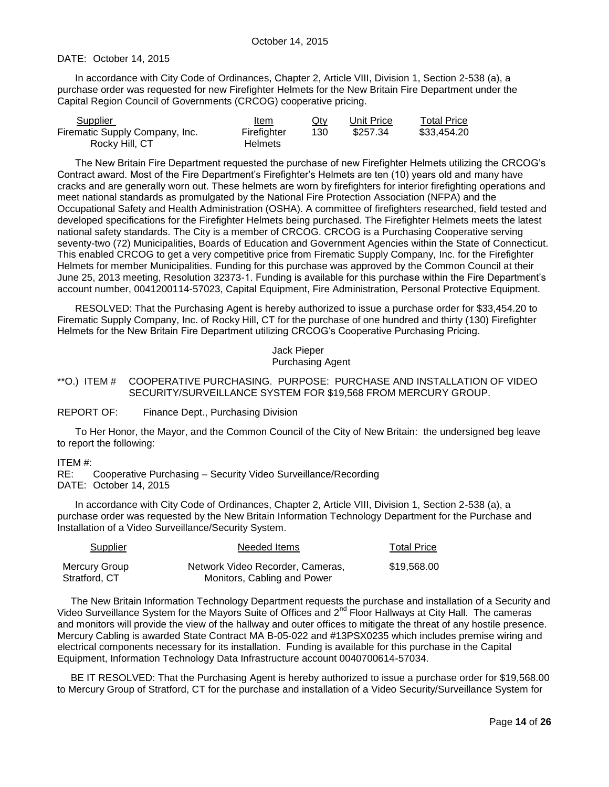#### DATE: October 14, 2015

In accordance with City Code of Ordinances, Chapter 2, Article VIII, Division 1, Section 2-538 (a), a purchase order was requested for new Firefighter Helmets for the New Britain Fire Department under the Capital Region Council of Governments (CRCOG) cooperative pricing.

| Supplier                       | Item           | Qty | Unit Price | Total Price |
|--------------------------------|----------------|-----|------------|-------------|
| Firematic Supply Company, Inc. | Firefighter    | 130 | \$257.34   | \$33.454.20 |
| Rocky Hill, CT                 | <b>Helmets</b> |     |            |             |

The New Britain Fire Department requested the purchase of new Firefighter Helmets utilizing the CRCOG's Contract award. Most of the Fire Department's Firefighter's Helmets are ten (10) years old and many have cracks and are generally worn out. These helmets are worn by firefighters for interior firefighting operations and meet national standards as promulgated by the National Fire Protection Association (NFPA) and the Occupational Safety and Health Administration (OSHA). A committee of firefighters researched, field tested and developed specifications for the Firefighter Helmets being purchased. The Firefighter Helmets meets the latest national safety standards. The City is a member of CRCOG. CRCOG is a Purchasing Cooperative serving seventy-two (72) Municipalities, Boards of Education and Government Agencies within the State of Connecticut. This enabled CRCOG to get a very competitive price from Firematic Supply Company, Inc. for the Firefighter Helmets for member Municipalities. Funding for this purchase was approved by the Common Council at their June 25, 2013 meeting, Resolution 32373-1. Funding is available for this purchase within the Fire Department's account number, 0041200114-57023, Capital Equipment, Fire Administration, Personal Protective Equipment.

RESOLVED: That the Purchasing Agent is hereby authorized to issue a purchase order for \$33,454.20 to Firematic Supply Company, Inc. of Rocky Hill, CT for the purchase of one hundred and thirty (130) Firefighter Helmets for the New Britain Fire Department utilizing CRCOG's Cooperative Purchasing Pricing.

> Jack Pieper Purchasing Agent

#### <span id="page-13-0"></span>\*\*O.) ITEM # COOPERATIVE PURCHASING. PURPOSE: PURCHASE AND INSTALLATION OF VIDEO SECURITY/SURVEILLANCE SYSTEM FOR \$19,568 FROM MERCURY GROUP.

REPORT OF: Finance Dept., Purchasing Division

To Her Honor, the Mayor, and the Common Council of the City of New Britain: the undersigned beg leave to report the following:

#### ITEM #:

RE: Cooperative Purchasing – Security Video Surveillance/Recording DATE: October 14, 2015

In accordance with City Code of Ordinances, Chapter 2, Article VIII, Division 1, Section 2-538 (a), a purchase order was requested by the New Britain Information Technology Department for the Purchase and Installation of a Video Surveillance/Security System.

| <b>Supplier</b> | Needed Items                     | <b>Total Price</b> |
|-----------------|----------------------------------|--------------------|
| Mercury Group   | Network Video Recorder, Cameras, | \$19,568.00        |
| Stratford, CT   | Monitors, Cabling and Power      |                    |

The New Britain Information Technology Department requests the purchase and installation of a Security and Video Surveillance System for the Mayors Suite of Offices and 2<sup>nd</sup> Floor Hallways at City Hall. The cameras and monitors will provide the view of the hallway and outer offices to mitigate the threat of any hostile presence. Mercury Cabling is awarded State Contract MA B-05-022 and #13PSX0235 which includes premise wiring and electrical components necessary for its installation. Funding is available for this purchase in the Capital Equipment, Information Technology Data Infrastructure account 0040700614-57034.

BE IT RESOLVED: That the Purchasing Agent is hereby authorized to issue a purchase order for \$19,568.00 to Mercury Group of Stratford, CT for the purchase and installation of a Video Security/Surveillance System for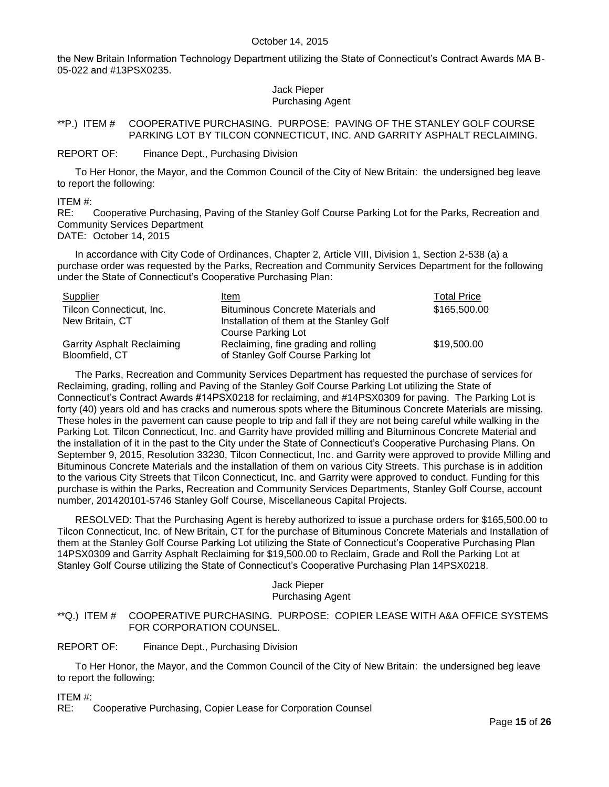the New Britain Information Technology Department utilizing the State of Connecticut's Contract Awards MA B-05-022 and #13PSX0235.

#### Jack Pieper Purchasing Agent

#### <span id="page-14-0"></span>\*\*P.) ITEM # COOPERATIVE PURCHASING. PURPOSE: PAVING OF THE STANLEY GOLF COURSE PARKING LOT BY TILCON CONNECTICUT, INC. AND GARRITY ASPHALT RECLAIMING.

#### REPORT OF: Finance Dept., Purchasing Division

To Her Honor, the Mayor, and the Common Council of the City of New Britain: the undersigned beg leave to report the following:

ITEM #:

RE: Cooperative Purchasing, Paving of the Stanley Golf Course Parking Lot for the Parks, Recreation and Community Services Department

DATE: October 14, 2015

In accordance with City Code of Ordinances, Chapter 2, Article VIII, Division 1, Section 2-538 (a) a purchase order was requested by the Parks, Recreation and Community Services Department for the following under the State of Connecticut's Cooperative Purchasing Plan:

| Supplier                          | Item                                     | <b>Total Price</b> |
|-----------------------------------|------------------------------------------|--------------------|
| Tilcon Connecticut, Inc.          | <b>Bituminous Concrete Materials and</b> | \$165,500.00       |
| New Britain, CT                   | Installation of them at the Stanley Golf |                    |
|                                   | Course Parking Lot                       |                    |
| <b>Garrity Asphalt Reclaiming</b> | Reclaiming, fine grading and rolling     | \$19,500.00        |
| Bloomfield, CT                    | of Stanley Golf Course Parking lot       |                    |

The Parks, Recreation and Community Services Department has requested the purchase of services for Reclaiming, grading, rolling and Paving of the Stanley Golf Course Parking Lot utilizing the State of Connecticut's Contract Awards #14PSX0218 for reclaiming, and #14PSX0309 for paving. The Parking Lot is forty (40) years old and has cracks and numerous spots where the Bituminous Concrete Materials are missing. These holes in the pavement can cause people to trip and fall if they are not being careful while walking in the Parking Lot. Tilcon Connecticut, Inc. and Garrity have provided milling and Bituminous Concrete Material and the installation of it in the past to the City under the State of Connecticut's Cooperative Purchasing Plans. On September 9, 2015, Resolution 33230, Tilcon Connecticut, Inc. and Garrity were approved to provide Milling and Bituminous Concrete Materials and the installation of them on various City Streets. This purchase is in addition to the various City Streets that Tilcon Connecticut, Inc. and Garrity were approved to conduct. Funding for this purchase is within the Parks, Recreation and Community Services Departments, Stanley Golf Course, account number, 201420101-5746 Stanley Golf Course, Miscellaneous Capital Projects.

RESOLVED: That the Purchasing Agent is hereby authorized to issue a purchase orders for \$165,500.00 to Tilcon Connecticut, Inc. of New Britain, CT for the purchase of Bituminous Concrete Materials and Installation of them at the Stanley Golf Course Parking Lot utilizing the State of Connecticut's Cooperative Purchasing Plan 14PSX0309 and Garrity Asphalt Reclaiming for \$19,500.00 to Reclaim, Grade and Roll the Parking Lot at Stanley Golf Course utilizing the State of Connecticut's Cooperative Purchasing Plan 14PSX0218.

#### Jack Pieper Purchasing Agent

#### <span id="page-14-1"></span>\*\*Q.) ITEM # COOPERATIVE PURCHASING. PURPOSE: COPIER LEASE WITH A&A OFFICE SYSTEMS FOR CORPORATION COUNSEL.

#### REPORT OF: Finance Dept., Purchasing Division

To Her Honor, the Mayor, and the Common Council of the City of New Britain: the undersigned beg leave to report the following:

ITEM #:

RE: Cooperative Purchasing, Copier Lease for Corporation Counsel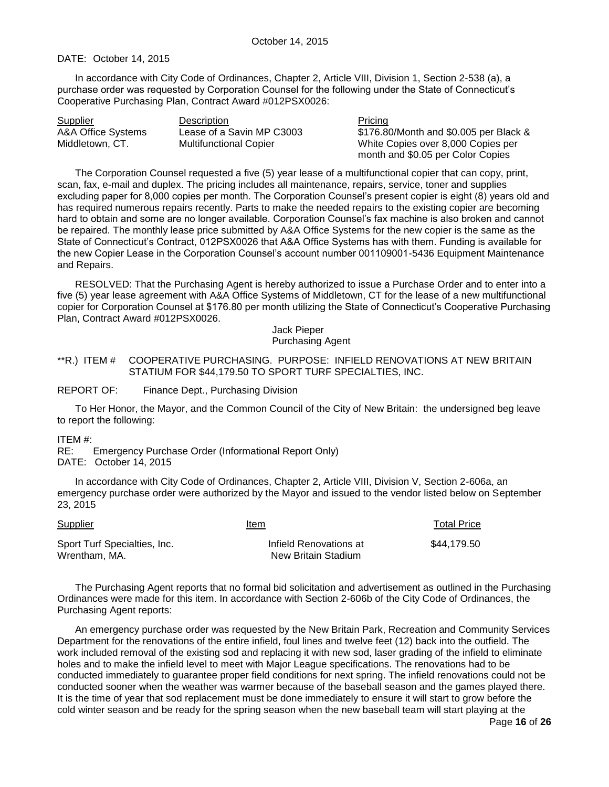#### DATE: October 14, 2015

In accordance with City Code of Ordinances, Chapter 2, Article VIII, Division 1, Section 2-538 (a), a purchase order was requested by Corporation Counsel for the following under the State of Connecticut's Cooperative Purchasing Plan, Contract Award #012PSX0026:

| <b>Supplier</b>    | Description                   | Pricing                                |
|--------------------|-------------------------------|----------------------------------------|
| A&A Office Systems | Lease of a Savin MP C3003     | \$176.80/Month and \$0.005 per Black & |
| Middletown, CT.    | <b>Multifunctional Copier</b> | White Copies over 8,000 Copies per     |
|                    |                               | month and \$0.05 per Color Copies      |

The Corporation Counsel requested a five (5) year lease of a multifunctional copier that can copy, print, scan, fax, e-mail and duplex. The pricing includes all maintenance, repairs, service, toner and supplies excluding paper for 8,000 copies per month. The Corporation Counsel's present copier is eight (8) years old and has required numerous repairs recently. Parts to make the needed repairs to the existing copier are becoming hard to obtain and some are no longer available. Corporation Counsel's fax machine is also broken and cannot be repaired. The monthly lease price submitted by A&A Office Systems for the new copier is the same as the State of Connecticut's Contract, 012PSX0026 that A&A Office Systems has with them. Funding is available for the new Copier Lease in the Corporation Counsel's account number 001109001-5436 Equipment Maintenance and Repairs.

RESOLVED: That the Purchasing Agent is hereby authorized to issue a Purchase Order and to enter into a five (5) year lease agreement with A&A Office Systems of Middletown, CT for the lease of a new multifunctional copier for Corporation Counsel at \$176.80 per month utilizing the State of Connecticut's Cooperative Purchasing Plan, Contract Award #012PSX0026.

#### Jack Pieper Purchasing Agent

<span id="page-15-0"></span>\*\*R.) ITEM # COOPERATIVE PURCHASING. PURPOSE: INFIELD RENOVATIONS AT NEW BRITAIN STATIUM FOR \$44,179.50 TO SPORT TURF SPECIALTIES, INC.

REPORT OF: Finance Dept., Purchasing Division

To Her Honor, the Mayor, and the Common Council of the City of New Britain: the undersigned beg leave to report the following:

ITEM #:

RE: Emergency Purchase Order (Informational Report Only) DATE: October 14, 2015

In accordance with City Code of Ordinances, Chapter 2, Article VIII, Division V, Section 2-606a, an emergency purchase order were authorized by the Mayor and issued to the vendor listed below on September 23, 2015

| <b>Supplier</b>                               | Item                                          | <b>Total Price</b> |
|-----------------------------------------------|-----------------------------------------------|--------------------|
| Sport Turf Specialties, Inc.<br>Wrentham. MA. | Infield Renovations at<br>New Britain Stadium | \$44.179.50        |

The Purchasing Agent reports that no formal bid solicitation and advertisement as outlined in the Purchasing Ordinances were made for this item. In accordance with Section 2-606b of the City Code of Ordinances, the Purchasing Agent reports:

An emergency purchase order was requested by the New Britain Park, Recreation and Community Services Department for the renovations of the entire infield, foul lines and twelve feet (12) back into the outfield. The work included removal of the existing sod and replacing it with new sod, laser grading of the infield to eliminate holes and to make the infield level to meet with Major League specifications. The renovations had to be conducted immediately to guarantee proper field conditions for next spring. The infield renovations could not be conducted sooner when the weather was warmer because of the baseball season and the games played there. It is the time of year that sod replacement must be done immediately to ensure it will start to grow before the cold winter season and be ready for the spring season when the new baseball team will start playing at the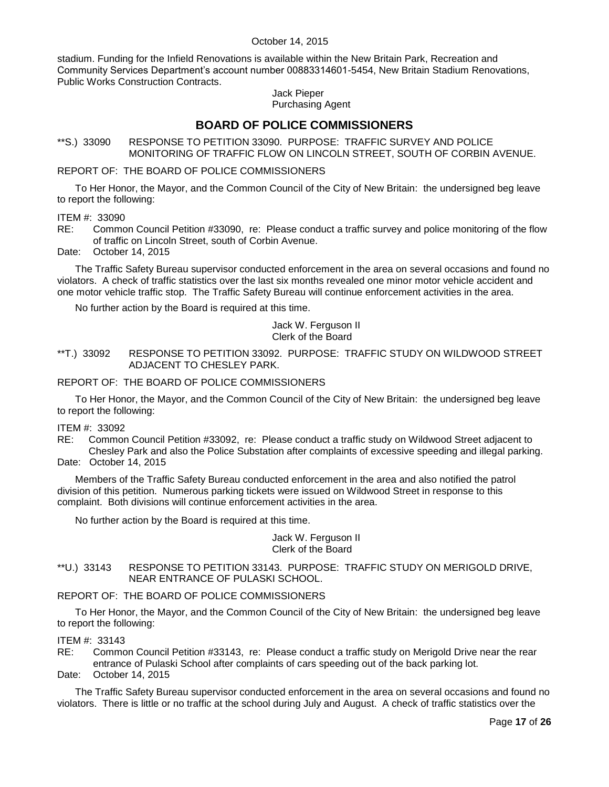stadium. Funding for the Infield Renovations is available within the New Britain Park, Recreation and Community Services Department's account number 00883314601-5454, New Britain Stadium Renovations, Public Works Construction Contracts.

#### Jack Pieper Purchasing Agent

# **BOARD OF POLICE COMMISSIONERS**

<span id="page-16-0"></span>\*\*S.) 33090 RESPONSE TO PETITION 33090. PURPOSE: TRAFFIC SURVEY AND POLICE MONITORING OF TRAFFIC FLOW ON LINCOLN STREET, SOUTH OF CORBIN AVENUE.

#### REPORT OF: THE BOARD OF POLICE COMMISSIONERS

To Her Honor, the Mayor, and the Common Council of the City of New Britain: the undersigned beg leave to report the following:

ITEM #: 33090

RE: Common Council Petition #33090, re: Please conduct a traffic survey and police monitoring of the flow of traffic on Lincoln Street, south of Corbin Avenue.

Date: October 14, 2015

The Traffic Safety Bureau supervisor conducted enforcement in the area on several occasions and found no violators. A check of traffic statistics over the last six months revealed one minor motor vehicle accident and one motor vehicle traffic stop. The Traffic Safety Bureau will continue enforcement activities in the area.

No further action by the Board is required at this time.

#### Jack W. Ferguson II Clerk of the Board

#### <span id="page-16-1"></span>\*\*T.) 33092 RESPONSE TO PETITION 33092. PURPOSE: TRAFFIC STUDY ON WILDWOOD STREET ADJACENT TO CHESLEY PARK.

#### REPORT OF: THE BOARD OF POLICE COMMISSIONERS

To Her Honor, the Mayor, and the Common Council of the City of New Britain: the undersigned beg leave to report the following:

# **ITEM #: 33092**<br>RE: Commor

Common Council Petition #33092, re: Please conduct a traffic study on Wildwood Street adjacent to Chesley Park and also the Police Substation after complaints of excessive speeding and illegal parking. Date: October 14, 2015

Members of the Traffic Safety Bureau conducted enforcement in the area and also notified the patrol division of this petition. Numerous parking tickets were issued on Wildwood Street in response to this complaint. Both divisions will continue enforcement activities in the area.

No further action by the Board is required at this time.

#### Jack W. Ferguson II Clerk of the Board

<span id="page-16-2"></span>\*\*U.) 33143 RESPONSE TO PETITION 33143. PURPOSE: TRAFFIC STUDY ON MERIGOLD DRIVE, NEAR ENTRANCE OF PULASKI SCHOOL.

#### REPORT OF: THE BOARD OF POLICE COMMISSIONERS

To Her Honor, the Mayor, and the Common Council of the City of New Britain: the undersigned beg leave to report the following:

#### ITEM #: 33143

RE: Common Council Petition #33143, re: Please conduct a traffic study on Merigold Drive near the rear entrance of Pulaski School after complaints of cars speeding out of the back parking lot.

Date: October 14, 2015

The Traffic Safety Bureau supervisor conducted enforcement in the area on several occasions and found no violators. There is little or no traffic at the school during July and August. A check of traffic statistics over the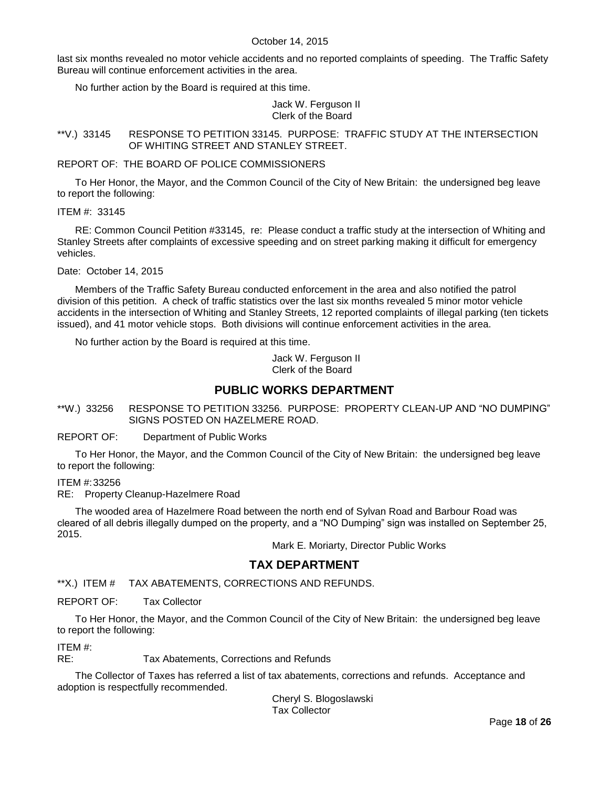last six months revealed no motor vehicle accidents and no reported complaints of speeding. The Traffic Safety Bureau will continue enforcement activities in the area.

No further action by the Board is required at this time.

Jack W. Ferguson II Clerk of the Board

<span id="page-17-0"></span>\*\*V.) 33145 RESPONSE TO PETITION 33145. PURPOSE: TRAFFIC STUDY AT THE INTERSECTION OF WHITING STREET AND STANLEY STREET.

REPORT OF: THE BOARD OF POLICE COMMISSIONERS

To Her Honor, the Mayor, and the Common Council of the City of New Britain: the undersigned beg leave to report the following:

ITEM #: 33145

RE: Common Council Petition #33145, re: Please conduct a traffic study at the intersection of Whiting and Stanley Streets after complaints of excessive speeding and on street parking making it difficult for emergency vehicles.

Date: October 14, 2015

Members of the Traffic Safety Bureau conducted enforcement in the area and also notified the patrol division of this petition. A check of traffic statistics over the last six months revealed 5 minor motor vehicle accidents in the intersection of Whiting and Stanley Streets, 12 reported complaints of illegal parking (ten tickets issued), and 41 motor vehicle stops. Both divisions will continue enforcement activities in the area.

No further action by the Board is required at this time.

Jack W. Ferguson II Clerk of the Board

# **PUBLIC WORKS DEPARTMENT**

<span id="page-17-1"></span>\*\*W.) 33256 RESPONSE TO PETITION 33256. PURPOSE: PROPERTY CLEAN-UP AND "NO DUMPING" SIGNS POSTED ON HAZELMERE ROAD.

REPORT OF: Department of Public Works

To Her Honor, the Mayor, and the Common Council of the City of New Britain: the undersigned beg leave to report the following:

ITEM #:33256

RE: Property Cleanup-Hazelmere Road

The wooded area of Hazelmere Road between the north end of Sylvan Road and Barbour Road was cleared of all debris illegally dumped on the property, and a "NO Dumping" sign was installed on September 25, 2015.

Mark E. Moriarty, Director Public Works

# **TAX DEPARTMENT**

<span id="page-17-2"></span>\*\*X.) ITEM # TAX ABATEMENTS, CORRECTIONS AND REFUNDS.

REPORT OF: Tax Collector

To Her Honor, the Mayor, and the Common Council of the City of New Britain: the undersigned beg leave to report the following:

ITEM #:

RE: Tax Abatements, Corrections and Refunds

The Collector of Taxes has referred a list of tax abatements, corrections and refunds. Acceptance and adoption is respectfully recommended.

Cheryl S. Blogoslawski Tax Collector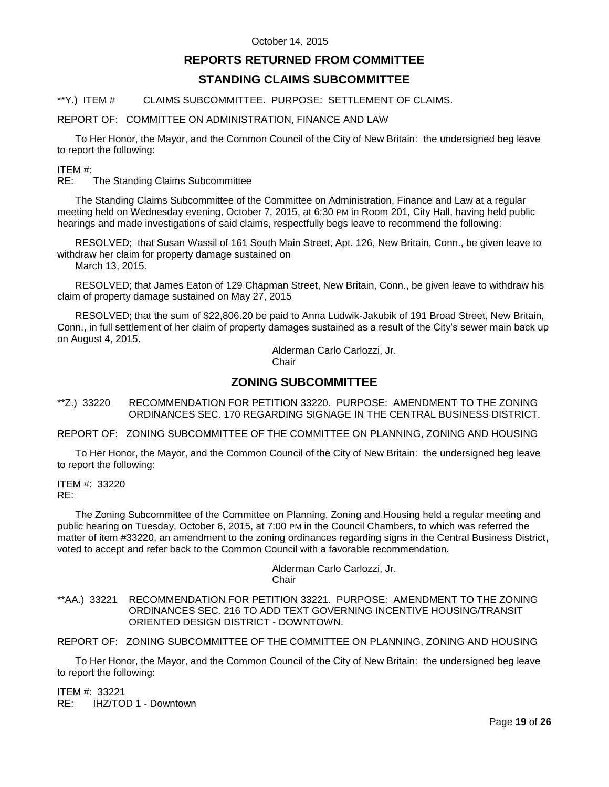# **REPORTS RETURNED FROM COMMITTEE**

# **STANDING CLAIMS SUBCOMMITTEE**

#### <span id="page-18-0"></span>\*\*Y.) ITEM # CLAIMS SUBCOMMITTEE. PURPOSE: SETTLEMENT OF CLAIMS.

#### REPORT OF: COMMITTEE ON ADMINISTRATION, FINANCE AND LAW

To Her Honor, the Mayor, and the Common Council of the City of New Britain: the undersigned beg leave to report the following:

#### ITEM #:

RE: The Standing Claims Subcommittee

The Standing Claims Subcommittee of the Committee on Administration, Finance and Law at a regular meeting held on Wednesday evening, October 7, 2015, at 6:30 PM in Room 201, City Hall, having held public hearings and made investigations of said claims, respectfully begs leave to recommend the following:

RESOLVED; that Susan Wassil of 161 South Main Street, Apt. 126, New Britain, Conn., be given leave to withdraw her claim for property damage sustained on

March 13, 2015.

RESOLVED; that James Eaton of 129 Chapman Street, New Britain, Conn., be given leave to withdraw his claim of property damage sustained on May 27, 2015

RESOLVED; that the sum of \$22,806.20 be paid to Anna Ludwik-Jakubik of 191 Broad Street, New Britain, Conn., in full settlement of her claim of property damages sustained as a result of the City's sewer main back up on August 4, 2015.

Alderman Carlo Carlozzi, Jr. **Chair** 

# **ZONING SUBCOMMITTEE**

<span id="page-18-1"></span>\*\*Z.) 33220 RECOMMENDATION FOR PETITION 33220. PURPOSE: AMENDMENT TO THE ZONING ORDINANCES SEC. 170 REGARDING SIGNAGE IN THE CENTRAL BUSINESS DISTRICT.

REPORT OF: ZONING SUBCOMMITTEE OF THE COMMITTEE ON PLANNING, ZONING AND HOUSING

To Her Honor, the Mayor, and the Common Council of the City of New Britain: the undersigned beg leave to report the following:

ITEM #: 33220 RE:

The Zoning Subcommittee of the Committee on Planning, Zoning and Housing held a regular meeting and public hearing on Tuesday, October 6, 2015, at 7:00 PM in the Council Chambers, to which was referred the matter of item #33220, an amendment to the zoning ordinances regarding signs in the Central Business District, voted to accept and refer back to the Common Council with a favorable recommendation.

> Alderman Carlo Carlozzi, Jr. **Chair**

<span id="page-18-2"></span>\*\*AA.) 33221 RECOMMENDATION FOR PETITION 33221. PURPOSE: AMENDMENT TO THE ZONING ORDINANCES SEC. 216 TO ADD TEXT GOVERNING INCENTIVE HOUSING/TRANSIT ORIENTED DESIGN DISTRICT - DOWNTOWN.

REPORT OF: ZONING SUBCOMMITTEE OF THE COMMITTEE ON PLANNING, ZONING AND HOUSING

To Her Honor, the Mayor, and the Common Council of the City of New Britain: the undersigned beg leave to report the following:

ITEM #: 33221 RE: IHZ/TOD 1 - Downtown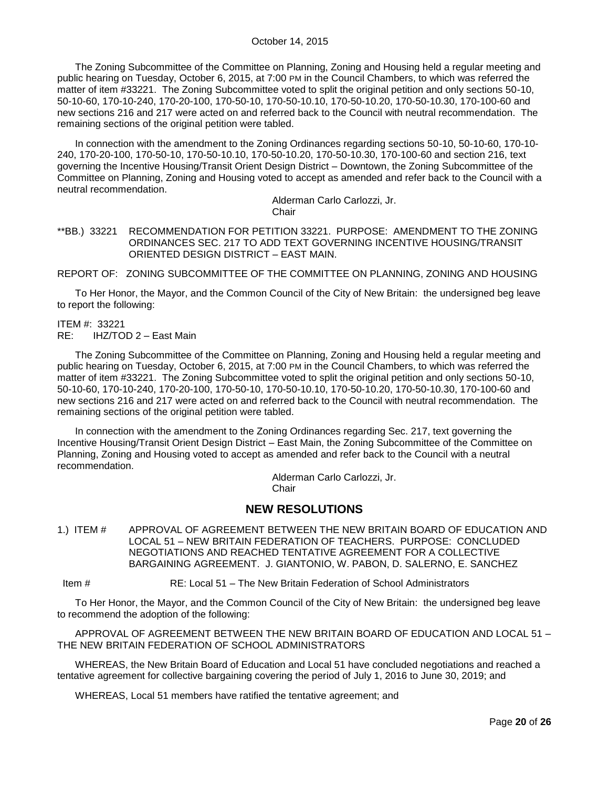The Zoning Subcommittee of the Committee on Planning, Zoning and Housing held a regular meeting and public hearing on Tuesday, October 6, 2015, at 7:00 PM in the Council Chambers, to which was referred the matter of item #33221. The Zoning Subcommittee voted to split the original petition and only sections 50-10, 50-10-60, 170-10-240, 170-20-100, 170-50-10, 170-50-10.10, 170-50-10.20, 170-50-10.30, 170-100-60 and new sections 216 and 217 were acted on and referred back to the Council with neutral recommendation. The remaining sections of the original petition were tabled.

In connection with the amendment to the Zoning Ordinances regarding sections 50-10, 50-10-60, 170-10- 240, 170-20-100, 170-50-10, 170-50-10.10, 170-50-10.20, 170-50-10.30, 170-100-60 and section 216, text governing the Incentive Housing/Transit Orient Design District – Downtown, the Zoning Subcommittee of the Committee on Planning, Zoning and Housing voted to accept as amended and refer back to the Council with a neutral recommendation.

> Alderman Carlo Carlozzi, Jr. **Chair**

<span id="page-19-0"></span>\*\*BB.) 33221 RECOMMENDATION FOR PETITION 33221. PURPOSE: AMENDMENT TO THE ZONING ORDINANCES SEC. 217 TO ADD TEXT GOVERNING INCENTIVE HOUSING/TRANSIT ORIENTED DESIGN DISTRICT – EAST MAIN.

REPORT OF: ZONING SUBCOMMITTEE OF THE COMMITTEE ON PLANNING, ZONING AND HOUSING

To Her Honor, the Mayor, and the Common Council of the City of New Britain: the undersigned beg leave to report the following:

ITEM #: 33221

RE: IHZ/TOD 2 – East Main

The Zoning Subcommittee of the Committee on Planning, Zoning and Housing held a regular meeting and public hearing on Tuesday, October 6, 2015, at 7:00 PM in the Council Chambers, to which was referred the matter of item #33221. The Zoning Subcommittee voted to split the original petition and only sections 50-10, 50-10-60, 170-10-240, 170-20-100, 170-50-10, 170-50-10.10, 170-50-10.20, 170-50-10.30, 170-100-60 and new sections 216 and 217 were acted on and referred back to the Council with neutral recommendation. The remaining sections of the original petition were tabled.

In connection with the amendment to the Zoning Ordinances regarding Sec. 217, text governing the Incentive Housing/Transit Orient Design District – East Main, the Zoning Subcommittee of the Committee on Planning, Zoning and Housing voted to accept as amended and refer back to the Council with a neutral recommendation.

> Alderman Carlo Carlozzi, Jr. **Chair**

# **NEW RESOLUTIONS**

<span id="page-19-1"></span>1.) ITEM # APPROVAL OF AGREEMENT BETWEEN THE NEW BRITAIN BOARD OF EDUCATION AND LOCAL 51 – NEW BRITAIN FEDERATION OF TEACHERS. PURPOSE: CONCLUDED NEGOTIATIONS AND REACHED TENTATIVE AGREEMENT FOR A COLLECTIVE BARGAINING AGREEMENT. J. GIANTONIO, W. PABON, D. SALERNO, E. SANCHEZ

Item # RE: Local 51 – The New Britain Federation of School Administrators

To Her Honor, the Mayor, and the Common Council of the City of New Britain: the undersigned beg leave to recommend the adoption of the following:

APPROVAL OF AGREEMENT BETWEEN THE NEW BRITAIN BOARD OF EDUCATION AND LOCAL 51 – THE NEW BRITAIN FEDERATION OF SCHOOL ADMINISTRATORS

WHEREAS, the New Britain Board of Education and Local 51 have concluded negotiations and reached a tentative agreement for collective bargaining covering the period of July 1, 2016 to June 30, 2019; and

WHEREAS, Local 51 members have ratified the tentative agreement; and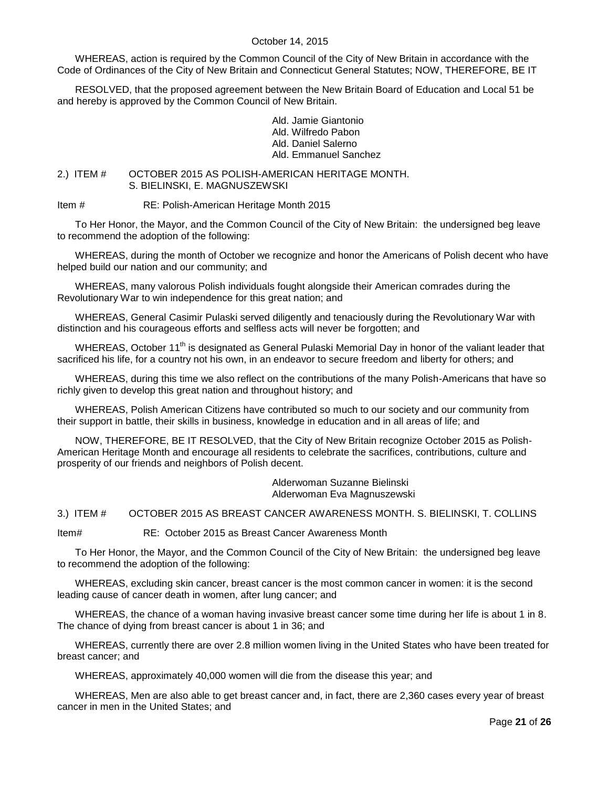WHEREAS, action is required by the Common Council of the City of New Britain in accordance with the Code of Ordinances of the City of New Britain and Connecticut General Statutes; NOW, THEREFORE, BE IT

RESOLVED, that the proposed agreement between the New Britain Board of Education and Local 51 be and hereby is approved by the Common Council of New Britain.

> Ald. Jamie Giantonio Ald. Wilfredo Pabon Ald. Daniel Salerno Ald. Emmanuel Sanchez

<span id="page-20-0"></span>2.) ITEM # OCTOBER 2015 AS POLISH-AMERICAN HERITAGE MONTH. S. BIELINSKI, E. MAGNUSZEWSKI

Item # RE: Polish-American Heritage Month 2015

To Her Honor, the Mayor, and the Common Council of the City of New Britain: the undersigned beg leave to recommend the adoption of the following:

WHEREAS, during the month of October we recognize and honor the Americans of Polish decent who have helped build our nation and our community; and

WHEREAS, many valorous Polish individuals fought alongside their American comrades during the Revolutionary War to win independence for this great nation; and

WHEREAS, General Casimir Pulaski served diligently and tenaciously during the Revolutionary War with distinction and his courageous efforts and selfless acts will never be forgotten; and

WHEREAS, October 11<sup>th</sup> is designated as General Pulaski Memorial Day in honor of the valiant leader that sacrificed his life, for a country not his own, in an endeavor to secure freedom and liberty for others; and

WHEREAS, during this time we also reflect on the contributions of the many Polish-Americans that have so richly given to develop this great nation and throughout history; and

WHEREAS, Polish American Citizens have contributed so much to our society and our community from their support in battle, their skills in business, knowledge in education and in all areas of life; and

NOW, THEREFORE, BE IT RESOLVED, that the City of New Britain recognize October 2015 as Polish-American Heritage Month and encourage all residents to celebrate the sacrifices, contributions, culture and prosperity of our friends and neighbors of Polish decent.

> Alderwoman Suzanne Bielinski Alderwoman Eva Magnuszewski

<span id="page-20-1"></span>3.) ITEM # OCTOBER 2015 AS BREAST CANCER AWARENESS MONTH. S. BIELINSKI, T. COLLINS

Item# RE: October 2015 as Breast Cancer Awareness Month

To Her Honor, the Mayor, and the Common Council of the City of New Britain: the undersigned beg leave to recommend the adoption of the following:

WHEREAS, excluding skin cancer, breast cancer is the most common cancer in women: it is the second leading cause of cancer death in women, after lung cancer; and

WHEREAS, the chance of a woman having invasive breast cancer some time during her life is about 1 in 8. The chance of dying from breast cancer is about 1 in 36; and

WHEREAS, currently there are over 2.8 million women living in the United States who have been treated for breast cancer; and

WHEREAS, approximately 40,000 women will die from the disease this year; and

WHEREAS, Men are also able to get breast cancer and, in fact, there are 2,360 cases every year of breast cancer in men in the United States; and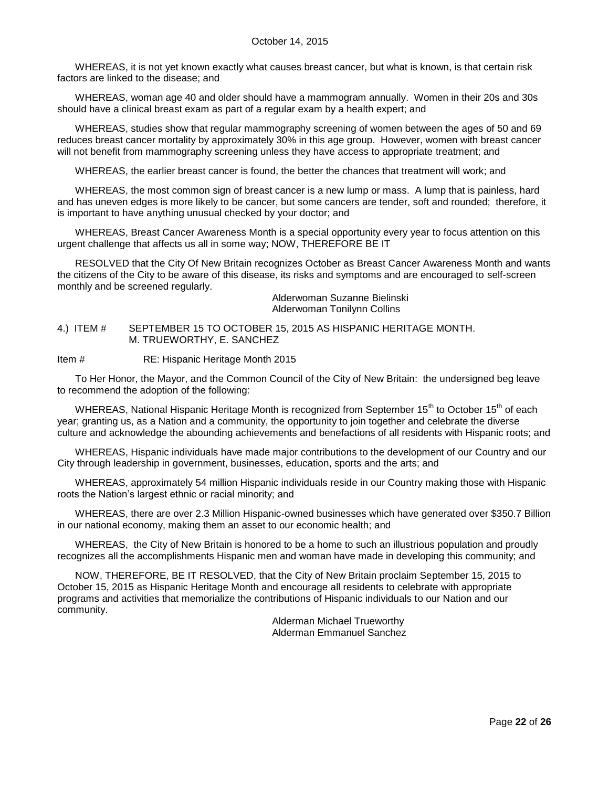WHEREAS, it is not yet known exactly what causes breast cancer, but what is known, is that certain risk factors are linked to the disease; and

WHEREAS, woman age 40 and older should have a mammogram annually. Women in their 20s and 30s should have a clinical breast exam as part of a regular exam by a health expert; and

WHEREAS, studies show that regular mammography screening of women between the ages of 50 and 69 reduces breast cancer mortality by approximately 30% in this age group. However, women with breast cancer will not benefit from mammography screening unless they have access to appropriate treatment; and

WHEREAS, the earlier breast cancer is found, the better the chances that treatment will work; and

WHEREAS, the most common sign of breast cancer is a new lump or mass. A lump that is painless, hard and has uneven edges is more likely to be cancer, but some cancers are tender, soft and rounded; therefore, it is important to have anything unusual checked by your doctor; and

WHEREAS, Breast Cancer Awareness Month is a special opportunity every year to focus attention on this urgent challenge that affects us all in some way; NOW, THEREFORE BE IT

RESOLVED that the City Of New Britain recognizes October as Breast Cancer Awareness Month and wants the citizens of the City to be aware of this disease, its risks and symptoms and are encouraged to self-screen monthly and be screened regularly.

Alderwoman Suzanne Bielinski Alderwoman Tonilynn Collins

<span id="page-21-0"></span>4.) ITEM # SEPTEMBER 15 TO OCTOBER 15, 2015 AS HISPANIC HERITAGE MONTH. M. TRUEWORTHY, E. SANCHEZ

Item # RE: Hispanic Heritage Month 2015

To Her Honor, the Mayor, and the Common Council of the City of New Britain: the undersigned beg leave to recommend the adoption of the following:

WHEREAS, National Hispanic Heritage Month is recognized from September 15<sup>th</sup> to October 15<sup>th</sup> of each year; granting us, as a Nation and a community, the opportunity to join together and celebrate the diverse culture and acknowledge the abounding achievements and benefactions of all residents with Hispanic roots; and

WHEREAS, Hispanic individuals have made major contributions to the development of our Country and our City through leadership in government, businesses, education, sports and the arts; and

WHEREAS, approximately 54 million Hispanic individuals reside in our Country making those with Hispanic roots the Nation's largest ethnic or racial minority; and

WHEREAS, there are over 2.3 Million Hispanic-owned businesses which have generated over \$350.7 Billion in our national economy, making them an asset to our economic health; and

WHEREAS, the City of New Britain is honored to be a home to such an illustrious population and proudly recognizes all the accomplishments Hispanic men and woman have made in developing this community; and

NOW, THEREFORE, BE IT RESOLVED, that the City of New Britain proclaim September 15, 2015 to October 15, 2015 as Hispanic Heritage Month and encourage all residents to celebrate with appropriate programs and activities that memorialize the contributions of Hispanic individuals to our Nation and our community.

Alderman Michael Trueworthy Alderman Emmanuel Sanchez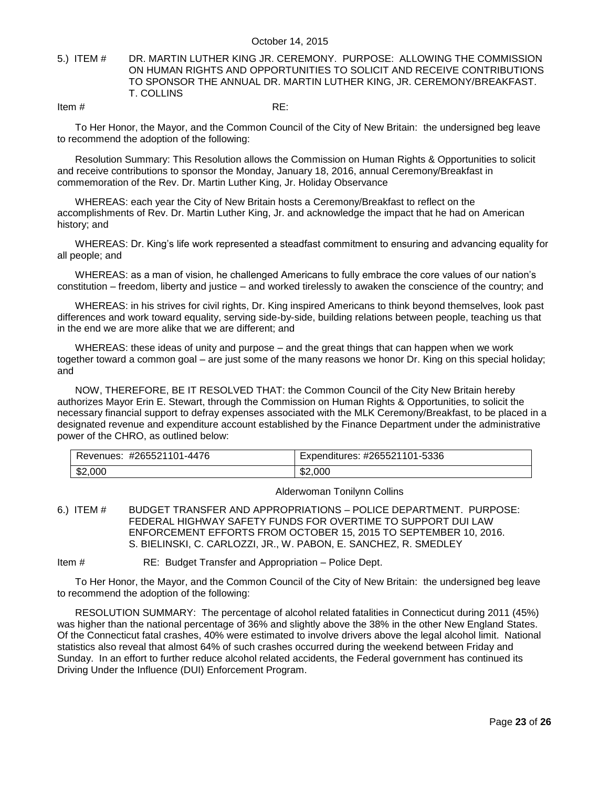#### <span id="page-22-0"></span>5.) ITEM # DR. MARTIN LUTHER KING JR. CEREMONY. PURPOSE: ALLOWING THE COMMISSION ON HUMAN RIGHTS AND OPPORTUNITIES TO SOLICIT AND RECEIVE CONTRIBUTIONS TO SPONSOR THE ANNUAL DR. MARTIN LUTHER KING, JR. CEREMONY/BREAKFAST. T. COLLINS

Item  $\#$  RE:

To Her Honor, the Mayor, and the Common Council of the City of New Britain: the undersigned beg leave to recommend the adoption of the following:

Resolution Summary: This Resolution allows the Commission on Human Rights & Opportunities to solicit and receive contributions to sponsor the Monday, January 18, 2016, annual Ceremony/Breakfast in commemoration of the Rev. Dr. Martin Luther King, Jr. Holiday Observance

WHEREAS: each year the City of New Britain hosts a Ceremony/Breakfast to reflect on the accomplishments of Rev. Dr. Martin Luther King, Jr. and acknowledge the impact that he had on American history; and

WHEREAS: Dr. King's life work represented a steadfast commitment to ensuring and advancing equality for all people; and

WHEREAS: as a man of vision, he challenged Americans to fully embrace the core values of our nation's constitution – freedom, liberty and justice – and worked tirelessly to awaken the conscience of the country; and

WHEREAS: in his strives for civil rights, Dr. King inspired Americans to think beyond themselves, look past differences and work toward equality, serving side-by-side, building relations between people, teaching us that in the end we are more alike that we are different; and

WHEREAS: these ideas of unity and purpose – and the great things that can happen when we work together toward a common goal – are just some of the many reasons we honor Dr. King on this special holiday; and

NOW, THEREFORE, BE IT RESOLVED THAT: the Common Council of the City New Britain hereby authorizes Mayor Erin E. Stewart, through the Commission on Human Rights & Opportunities, to solicit the necessary financial support to defray expenses associated with the MLK Ceremony/Breakfast, to be placed in a designated revenue and expenditure account established by the Finance Department under the administrative power of the CHRO, as outlined below:

| -4476<br>#265521101<br>Revenues: | Expenditures: #265521101-5336 |
|----------------------------------|-------------------------------|
| \$2,000                          | \$2,000                       |

Alderwoman Tonilynn Collins

<span id="page-22-1"></span>6.) ITEM # BUDGET TRANSFER AND APPROPRIATIONS – POLICE DEPARTMENT. PURPOSE: FEDERAL HIGHWAY SAFETY FUNDS FOR OVERTIME TO SUPPORT DUI LAW ENFORCEMENT EFFORTS FROM OCTOBER 15, 2015 TO SEPTEMBER 10, 2016. S. BIELINSKI, C. CARLOZZI, JR., W. PABON, E. SANCHEZ, R. SMEDLEY

Item # RE: Budget Transfer and Appropriation – Police Dept.

To Her Honor, the Mayor, and the Common Council of the City of New Britain: the undersigned beg leave to recommend the adoption of the following:

RESOLUTION SUMMARY: The percentage of alcohol related fatalities in Connecticut during 2011 (45%) was higher than the national percentage of 36% and slightly above the 38% in the other New England States. Of the Connecticut fatal crashes, 40% were estimated to involve drivers above the legal alcohol limit. National statistics also reveal that almost 64% of such crashes occurred during the weekend between Friday and Sunday. In an effort to further reduce alcohol related accidents, the Federal government has continued its Driving Under the Influence (DUI) Enforcement Program.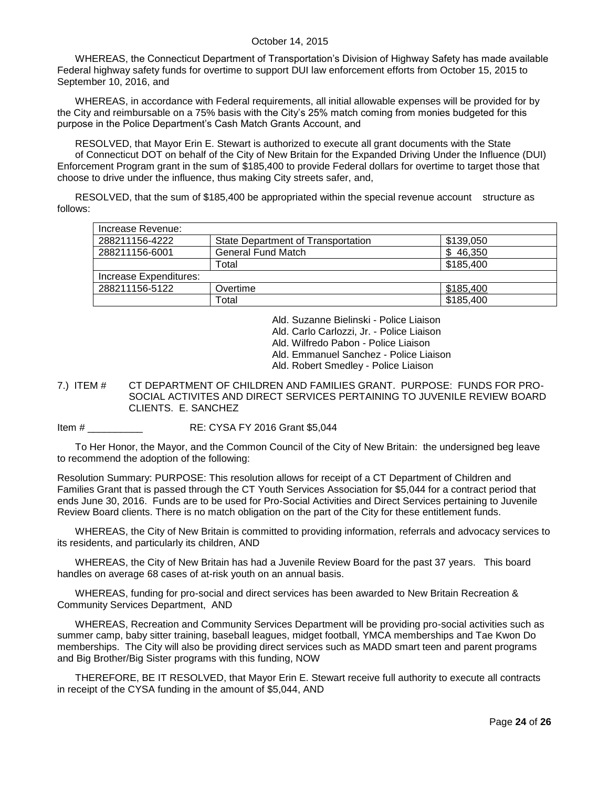WHEREAS, the Connecticut Department of Transportation's Division of Highway Safety has made available Federal highway safety funds for overtime to support DUI law enforcement efforts from October 15, 2015 to September 10, 2016, and

WHEREAS, in accordance with Federal requirements, all initial allowable expenses will be provided for by the City and reimbursable on a 75% basis with the City's 25% match coming from monies budgeted for this purpose in the Police Department's Cash Match Grants Account, and

RESOLVED, that Mayor Erin E. Stewart is authorized to execute all grant documents with the State of Connecticut DOT on behalf of the City of New Britain for the Expanded Driving Under the Influence (DUI) Enforcement Program grant in the sum of \$185,400 to provide Federal dollars for overtime to target those that choose to drive under the influence, thus making City streets safer, and,

RESOLVED, that the sum of \$185,400 be appropriated within the special revenue account structure as follows:

| Increase Revenue:      |                                           |           |
|------------------------|-------------------------------------------|-----------|
| 288211156-4222         | <b>State Department of Transportation</b> | \$139,050 |
| 288211156-6001         | <b>General Fund Match</b>                 | 46,350    |
|                        | Total                                     | \$185,400 |
| Increase Expenditures: |                                           |           |
| 288211156-5122         | Overtime                                  | \$185,400 |
|                        | Total                                     | \$185,400 |

Ald. Suzanne Bielinski - Police Liaison

Ald. Carlo Carlozzi, Jr. - Police Liaison

Ald. Wilfredo Pabon - Police Liaison

Ald. Emmanuel Sanchez - Police Liaison

Ald. Robert Smedley - Police Liaison

<span id="page-23-0"></span>7.) ITEM # CT DEPARTMENT OF CHILDREN AND FAMILIES GRANT. PURPOSE: FUNDS FOR PRO-SOCIAL ACTIVITES AND DIRECT SERVICES PERTAINING TO JUVENILE REVIEW BOARD CLIENTS. E. SANCHEZ

Item #  $RE: CYSA FY 2016 Grant $5,044$ 

To Her Honor, the Mayor, and the Common Council of the City of New Britain: the undersigned beg leave to recommend the adoption of the following:

Resolution Summary: PURPOSE: This resolution allows for receipt of a CT Department of Children and Families Grant that is passed through the CT Youth Services Association for \$5,044 for a contract period that ends June 30, 2016. Funds are to be used for Pro-Social Activities and Direct Services pertaining to Juvenile Review Board clients. There is no match obligation on the part of the City for these entitlement funds.

WHEREAS, the City of New Britain is committed to providing information, referrals and advocacy services to its residents, and particularly its children, AND

WHEREAS, the City of New Britain has had a Juvenile Review Board for the past 37 years. This board handles on average 68 cases of at-risk youth on an annual basis.

WHEREAS, funding for pro-social and direct services has been awarded to New Britain Recreation & Community Services Department, AND

WHEREAS, Recreation and Community Services Department will be providing pro-social activities such as summer camp, baby sitter training, baseball leagues, midget football, YMCA memberships and Tae Kwon Do memberships. The City will also be providing direct services such as MADD smart teen and parent programs and Big Brother/Big Sister programs with this funding, NOW

THEREFORE, BE IT RESOLVED, that Mayor Erin E. Stewart receive full authority to execute all contracts in receipt of the CYSA funding in the amount of \$5,044, AND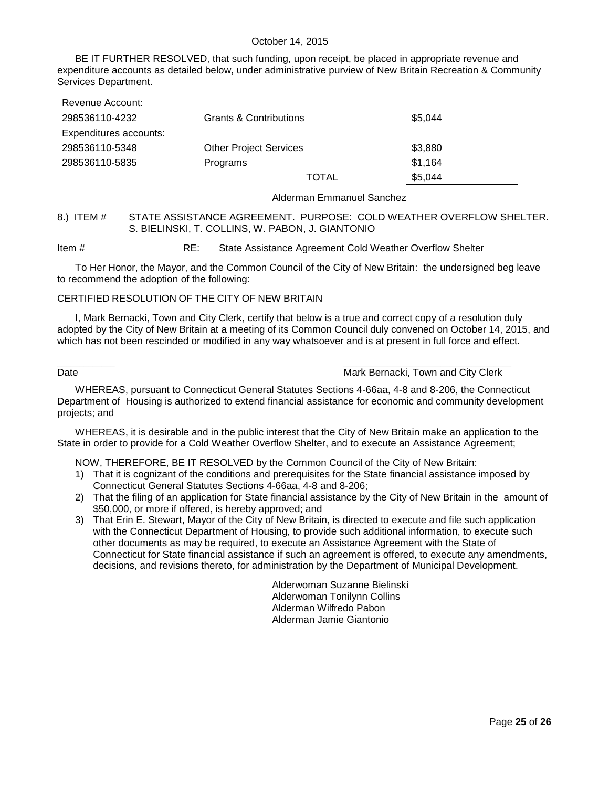BE IT FURTHER RESOLVED, that such funding, upon receipt, be placed in appropriate revenue and expenditure accounts as detailed below, under administrative purview of New Britain Recreation & Community Services Department.

| Revenue Account:       |                                   |              |         |
|------------------------|-----------------------------------|--------------|---------|
| 298536110-4232         | <b>Grants &amp; Contributions</b> |              | \$5.044 |
| Expenditures accounts: |                                   |              |         |
| 298536110-5348         | <b>Other Project Services</b>     |              | \$3,880 |
| 298536110-5835         | Programs                          |              | \$1,164 |
|                        |                                   | <b>TOTAL</b> | \$5,044 |

Alderman Emmanuel Sanchez

#### <span id="page-24-0"></span>8.) ITEM # STATE ASSISTANCE AGREEMENT. PURPOSE: COLD WEATHER OVERFLOW SHELTER. S. BIELINSKI, T. COLLINS, W. PABON, J. GIANTONIO

Item # RE: State Assistance Agreement Cold Weather Overflow Shelter

To Her Honor, the Mayor, and the Common Council of the City of New Britain: the undersigned beg leave to recommend the adoption of the following:

#### CERTIFIED RESOLUTION OF THE CITY OF NEW BRITAIN

I, Mark Bernacki, Town and City Clerk, certify that below is a true and correct copy of a resolution duly adopted by the City of New Britain at a meeting of its Common Council duly convened on October 14, 2015, and which has not been rescinded or modified in any way whatsoever and is at present in full force and effect.

#### $\_$  . The contribution of the contribution of the contribution of  $\_$  . The contribution of the contribution of  $\mathcal{L}_\mathcal{A}$ Date **Date Communist Communist Communist Communist Communist Communist Communist Communist Communist Communist Communist Communist Communist Communist Communist Communist Communist Communist Communist Communist Communist C**

WHEREAS, pursuant to Connecticut General Statutes Sections 4-66aa, 4-8 and 8-206, the Connecticut Department of Housing is authorized to extend financial assistance for economic and community development projects; and

WHEREAS, it is desirable and in the public interest that the City of New Britain make an application to the State in order to provide for a Cold Weather Overflow Shelter, and to execute an Assistance Agreement;

NOW, THEREFORE, BE IT RESOLVED by the Common Council of the City of New Britain:

- 1) That it is cognizant of the conditions and prerequisites for the State financial assistance imposed by Connecticut General Statutes Sections 4-66aa, 4-8 and 8-206;
- 2) That the filing of an application for State financial assistance by the City of New Britain in the amount of \$50,000, or more if offered, is hereby approved; and
- 3) That Erin E. Stewart, Mayor of the City of New Britain, is directed to execute and file such application with the Connecticut Department of Housing, to provide such additional information, to execute such other documents as may be required, to execute an Assistance Agreement with the State of Connecticut for State financial assistance if such an agreement is offered, to execute any amendments, decisions, and revisions thereto, for administration by the Department of Municipal Development.

Alderwoman Suzanne Bielinski Alderwoman Tonilynn Collins Alderman Wilfredo Pabon Alderman Jamie Giantonio